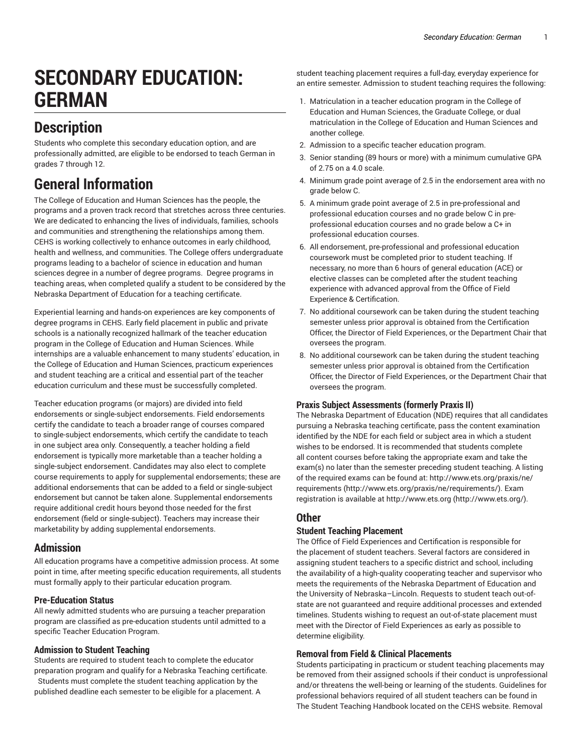# **SECONDARY EDUCATION: GERMAN**

# **Description**

Students who complete this secondary education option, and are professionally admitted, are eligible to be endorsed to teach German in grades 7 through 12.

# **General Information**

The College of Education and Human Sciences has the people, the programs and a proven track record that stretches across three centuries. We are dedicated to enhancing the lives of individuals, families, schools and communities and strengthening the relationships among them. CEHS is working collectively to enhance outcomes in early childhood, health and wellness, and communities. The College offers undergraduate programs leading to a bachelor of science in education and human sciences degree in a number of degree programs. Degree programs in teaching areas, when completed qualify a student to be considered by the Nebraska Department of Education for a teaching certificate.

Experiential learning and hands-on experiences are key components of degree programs in CEHS. Early field placement in public and private schools is a nationally recognized hallmark of the teacher education program in the College of Education and Human Sciences. While internships are a valuable enhancement to many students' education, in the College of Education and Human Sciences, practicum experiences and student teaching are a critical and essential part of the teacher education curriculum and these must be successfully completed.

Teacher education programs (or majors) are divided into field endorsements or single-subject endorsements. Field endorsements certify the candidate to teach a broader range of courses compared to single-subject endorsements, which certify the candidate to teach in one subject area only. Consequently, a teacher holding a field endorsement is typically more marketable than a teacher holding a single-subject endorsement. Candidates may also elect to complete course requirements to apply for supplemental endorsements; these are additional endorsements that can be added to a field or single-subject endorsement but cannot be taken alone. Supplemental endorsements require additional credit hours beyond those needed for the first endorsement (field or single-subject). Teachers may increase their marketability by adding supplemental endorsements.

# **Admission**

All education programs have a competitive admission process. At some point in time, after meeting specific education requirements, all students must formally apply to their particular education program.

# **Pre-Education Status**

All newly admitted students who are pursuing a teacher preparation program are classified as pre-education students until admitted to a specific Teacher Education Program.

# **Admission to Student Teaching**

Students are required to student teach to complete the educator preparation program and qualify for a Nebraska Teaching certificate.

Students must complete the student teaching application by the published deadline each semester to be eligible for a placement. A student teaching placement requires a full-day, everyday experience for an entire semester. Admission to student teaching requires the following:

- 1. Matriculation in a teacher education program in the College of Education and Human Sciences, the Graduate College, or dual matriculation in the College of Education and Human Sciences and another college.
- 2. Admission to a specific teacher education program.
- 3. Senior standing (89 hours or more) with a minimum cumulative GPA of 2.75 on a 4.0 scale.
- 4. Minimum grade point average of 2.5 in the endorsement area with no grade below C.
- 5. A minimum grade point average of 2.5 in pre-professional and professional education courses and no grade below C in preprofessional education courses and no grade below a C+ in professional education courses.
- 6. All endorsement, pre-professional and professional education coursework must be completed prior to student teaching. If necessary, no more than 6 hours of general education (ACE) or elective classes can be completed after the student teaching experience with advanced approval from the Office of Field Experience & Certification.
- 7. No additional coursework can be taken during the student teaching semester unless prior approval is obtained from the Certification Officer, the Director of Field Experiences, or the Department Chair that oversees the program.
- 8. No additional coursework can be taken during the student teaching semester unless prior approval is obtained from the Certification Officer, the Director of Field Experiences, or the Department Chair that oversees the program.

# **Praxis Subject Assessments (formerly Praxis II)**

The Nebraska Department of Education (NDE) requires that all candidates pursuing a Nebraska teaching certificate, pass the content examination identified by the NDE for each field or subject area in which a student wishes to be endorsed. It is recommended that students complete all content courses before taking the appropriate exam and take the exam(s) no later than the semester preceding student teaching. A listing of the required exams can be found at: [http://www.ets.org/praxis/ne/](http://www.ets.org/praxis/ne/requirements/) [requirements](http://www.ets.org/praxis/ne/requirements/) (<http://www.ets.org/praxis/ne/requirements/>). Exam registration is available at [http://www.ets.org](http://www.ets.org/) (<http://www.ets.org/>).

# **Other**

# **Student Teaching Placement**

The Office of Field Experiences and Certification is responsible for the placement of student teachers. Several factors are considered in assigning student teachers to a specific district and school, including the availability of a high-quality cooperating teacher and supervisor who meets the requirements of the Nebraska Department of Education and the University of Nebraska–Lincoln. Requests to student teach out-ofstate are not guaranteed and require additional processes and extended timelines. Students wishing to request an out-of-state placement must meet with the Director of Field Experiences as early as possible to determine eligibility.

# **Removal from Field & Clinical Placements**

Students participating in practicum or student teaching placements may be removed from their assigned schools if their conduct is unprofessional and/or threatens the well-being or learning of the students. Guidelines for professional behaviors required of all student teachers can be found in The Student Teaching Handbook located on the CEHS website. Removal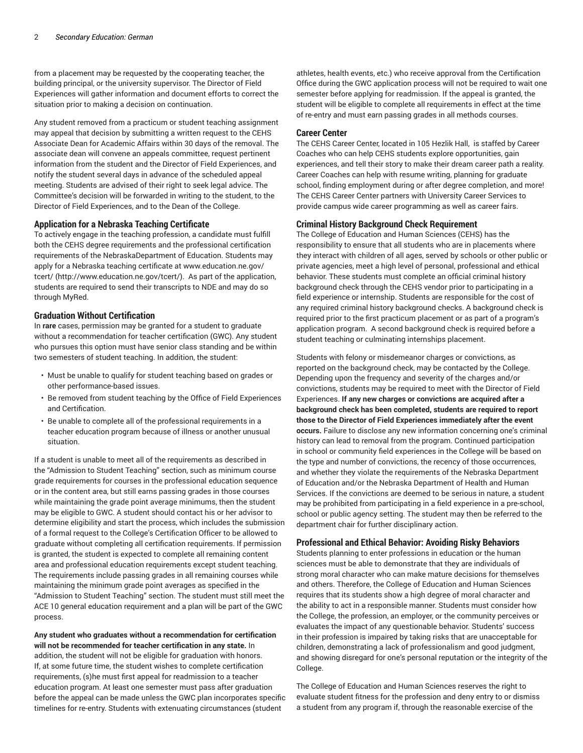from a placement may be requested by the cooperating teacher, the building principal, or the university supervisor. The Director of Field Experiences will gather information and document efforts to correct the situation prior to making a decision on continuation.

Any student removed from a practicum or student teaching assignment may appeal that decision by submitting a written request to the CEHS Associate Dean for Academic Affairs within 30 days of the removal. The associate dean will convene an appeals committee, request pertinent information from the student and the Director of Field Experiences, and notify the student several days in advance of the scheduled appeal meeting. Students are advised of their right to seek legal advice. The Committee's decision will be forwarded in writing to the student, to the Director of Field Experiences, and to the Dean of the College.

#### **Application for a Nebraska Teaching Certificate**

To actively engage in the teaching profession, a candidate must fulfill both the CEHS degree requirements and the professional certification requirements of the NebraskaDepartment of Education. Students may apply for a Nebraska teaching certificate at [www.education.ne.gov/](http://www.education.ne.gov/tcert/) [tcert/](http://www.education.ne.gov/tcert/) (<http://www.education.ne.gov/tcert/>). As part of the application, students are required to send their transcripts to NDE and may do so through MyRed.

#### **Graduation Without Certification**

In **rare** cases, permission may be granted for a student to graduate without a recommendation for teacher certification (GWC). Any student who pursues this option must have senior class standing and be within two semesters of student teaching. In addition, the student:

- Must be unable to qualify for student teaching based on grades or other performance-based issues.
- Be removed from student teaching by the Office of Field Experiences and Certification.
- Be unable to complete all of the professional requirements in a teacher education program because of illness or another unusual situation.

If a student is unable to meet all of the requirements as described in the "Admission to Student Teaching" section, such as minimum course grade requirements for courses in the professional education sequence or in the content area, but still earns passing grades in those courses while maintaining the grade point average minimums, then the student may be eligible to GWC. A student should contact his or her advisor to determine eligibility and start the process, which includes the submission of a formal request to the College's Certification Officer to be allowed to graduate without completing all certification requirements. If permission is granted, the student is expected to complete all remaining content area and professional education requirements except student teaching. The requirements include passing grades in all remaining courses while maintaining the minimum grade point averages as specified in the "Admission to Student Teaching" section. The student must still meet the ACE 10 general education requirement and a plan will be part of the GWC process.

**Any student who graduates without a recommendation for certification will not be recommended for teacher certification in any state.** In addition, the student will not be eligible for graduation with honors. If, at some future time, the student wishes to complete certification requirements, (s)he must first appeal for readmission to a teacher education program. At least one semester must pass after graduation before the appeal can be made unless the GWC plan incorporates specific timelines for re-entry. Students with extenuating circumstances (student

athletes, health events, etc.) who receive approval from the Certification Office during the GWC application process will not be required to wait one semester before applying for readmission. If the appeal is granted, the student will be eligible to complete all requirements in effect at the time of re-entry and must earn passing grades in all methods courses.

#### **Career Center**

The CEHS Career Center, located in 105 Hezlik Hall, is staffed by Career Coaches who can help CEHS students explore opportunities, gain experiences, and tell their story to make their dream career path a reality. Career Coaches can help with resume writing, planning for graduate school, finding employment during or after degree completion, and more! The CEHS Career Center partners with University Career Services to provide campus wide career programming as well as career fairs.

# **Criminal History Background Check Requirement**

The College of Education and Human Sciences (CEHS) has the responsibility to ensure that all students who are in placements where they interact with children of all ages, served by schools or other public or private agencies, meet a high level of personal, professional and ethical behavior. These students must complete an official criminal history background check through the CEHS vendor prior to participating in a field experience or internship. Students are responsible for the cost of any required criminal history background checks. A background check is required prior to the first practicum placement or as part of a program's application program. A second background check is required before a student teaching or culminating internships placement.

Students with felony or misdemeanor charges or convictions, as reported on the background check, may be contacted by the College. Depending upon the frequency and severity of the charges and/or convictions, students may be required to meet with the Director of Field Experiences. **If any new charges or convictions are acquired after a background check has been completed, students are required to report those to the Director of Field Experiences immediately after the event occurs.** Failure to disclose any new information concerning one's criminal history can lead to removal from the program. Continued participation in school or community field experiences in the College will be based on the type and number of convictions, the recency of those occurrences, and whether they violate the requirements of the Nebraska Department of Education and/or the Nebraska Department of Health and Human Services. If the convictions are deemed to be serious in nature, a student may be prohibited from participating in a field experience in a pre-school, school or public agency setting. The student may then be referred to the department chair for further disciplinary action.

#### **Professional and Ethical Behavior: Avoiding Risky Behaviors**

Students planning to enter professions in education or the human sciences must be able to demonstrate that they are individuals of strong moral character who can make mature decisions for themselves and others. Therefore, the College of Education and Human Sciences requires that its students show a high degree of moral character and the ability to act in a responsible manner. Students must consider how the College, the profession, an employer, or the community perceives or evaluates the impact of any questionable behavior. Students' success in their profession is impaired by taking risks that are unacceptable for children, demonstrating a lack of professionalism and good judgment, and showing disregard for one's personal reputation or the integrity of the College.

The College of Education and Human Sciences reserves the right to evaluate student fitness for the profession and deny entry to or dismiss a student from any program if, through the reasonable exercise of the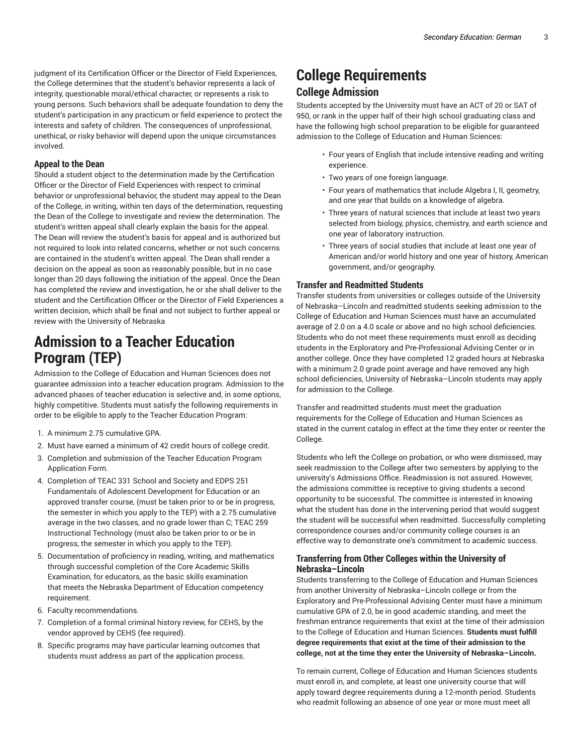judgment of its Certification Officer or the Director of Field Experiences, the College determines that the student's behavior represents a lack of integrity, questionable moral/ethical character, or represents a risk to young persons. Such behaviors shall be adequate foundation to deny the student's participation in any practicum or field experience to protect the interests and safety of children. The consequences of unprofessional, unethical, or risky behavior will depend upon the unique circumstances involved.

# **Appeal to the Dean**

Should a student object to the determination made by the Certification Officer or the Director of Field Experiences with respect to criminal behavior or unprofessional behavior, the student may appeal to the Dean of the College, in writing, within ten days of the determination, requesting the Dean of the College to investigate and review the determination. The student's written appeal shall clearly explain the basis for the appeal. The Dean will review the student's basis for appeal and is authorized but not required to look into related concerns, whether or not such concerns are contained in the student's written appeal. The Dean shall render a decision on the appeal as soon as reasonably possible, but in no case longer than 20 days following the initiation of the appeal. Once the Dean has completed the review and investigation, he or she shall deliver to the student and the Certification Officer or the Director of Field Experiences a written decision, which shall be final and not subject to further appeal or review with the University of Nebraska

# **Admission to a Teacher Education Program (TEP)**

Admission to the College of Education and Human Sciences does not guarantee admission into a teacher education program. Admission to the advanced phases of teacher education is selective and, in some options, highly competitive. Students must satisfy the following requirements in order to be eligible to apply to the Teacher Education Program:

- 1. A minimum 2.75 cumulative GPA.
- 2. Must have earned a minimum of 42 credit hours of college credit.
- 3. Completion and submission of the Teacher Education Program Application Form.
- 4. Completion of [TEAC 331](/search/?P=TEAC%20331) School and Society and [EDPS 251](/search/?P=EDPS%20251) Fundamentals of Adolescent Development for Education or an approved transfer course, (must be taken prior to or be in progress, the semester in which you apply to the TEP) with a 2.75 cumulative average in the two classes, and no grade lower than C; [TEAC 259](/search/?P=TEAC%20259) Instructional Technology (must also be taken prior to or be in progress, the semester in which you apply to the TEP).
- 5. Documentation of proficiency in reading, writing, and mathematics through successful completion of the Core Academic Skills Examination, for educators, as the basic skills examination that meets the Nebraska Department of Education competency requirement.
- 6. Faculty recommendations.
- 7. Completion of a formal criminal history review, for CEHS, by the vendor approved by CEHS (fee required).
- 8. Specific programs may have particular learning outcomes that students must address as part of the application process.

# **College Requirements College Admission**

Students accepted by the University must have an ACT of 20 or SAT of 950, or rank in the upper half of their high school graduating class and have the following high school preparation to be eligible for guaranteed admission to the College of Education and Human Sciences:

- Four years of English that include intensive reading and writing experience.
- Two years of one foreign language.
- Four years of mathematics that include Algebra I, II, geometry, and one year that builds on a knowledge of algebra.
- Three years of natural sciences that include at least two years selected from biology, physics, chemistry, and earth science and one year of laboratory instruction.
- Three years of social studies that include at least one year of American and/or world history and one year of history, American government, and/or geography.

# **Transfer and Readmitted Students**

Transfer students from universities or colleges outside of the University of Nebraska–Lincoln and readmitted students seeking admission to the College of Education and Human Sciences must have an accumulated average of 2.0 on a 4.0 scale or above and no high school deficiencies. Students who do not meet these requirements must enroll as deciding students in the Exploratory and Pre-Professional Advising Center or in another college. Once they have completed 12 graded hours at Nebraska with a minimum 2.0 grade point average and have removed any high school deficiencies, University of Nebraska–Lincoln students may apply for admission to the College.

Transfer and readmitted students must meet the graduation requirements for the College of Education and Human Sciences as stated in the current catalog in effect at the time they enter or reenter the College.

Students who left the College on probation, or who were dismissed, may seek readmission to the College after two semesters by applying to the university's Admissions Office. Readmission is not assured. However, the admissions committee is receptive to giving students a second opportunity to be successful. The committee is interested in knowing what the student has done in the intervening period that would suggest the student will be successful when readmitted. Successfully completing correspondence courses and/or community college courses is an effective way to demonstrate one's commitment to academic success.

# **Transferring from Other Colleges within the University of Nebraska–Lincoln**

Students transferring to the College of Education and Human Sciences from another University of Nebraska–Lincoln college or from the Exploratory and Pre-Professional Advising Center must have a minimum cumulative GPA of 2.0, be in good academic standing, and meet the freshman entrance requirements that exist at the time of their admission to the College of Education and Human Sciences. **Students must fulfill degree requirements that exist at the time of their admission to the college, not at the time they enter the University of Nebraska–Lincoln.**

To remain current, College of Education and Human Sciences students must enroll in, and complete, at least one university course that will apply toward degree requirements during a 12-month period. Students who readmit following an absence of one year or more must meet all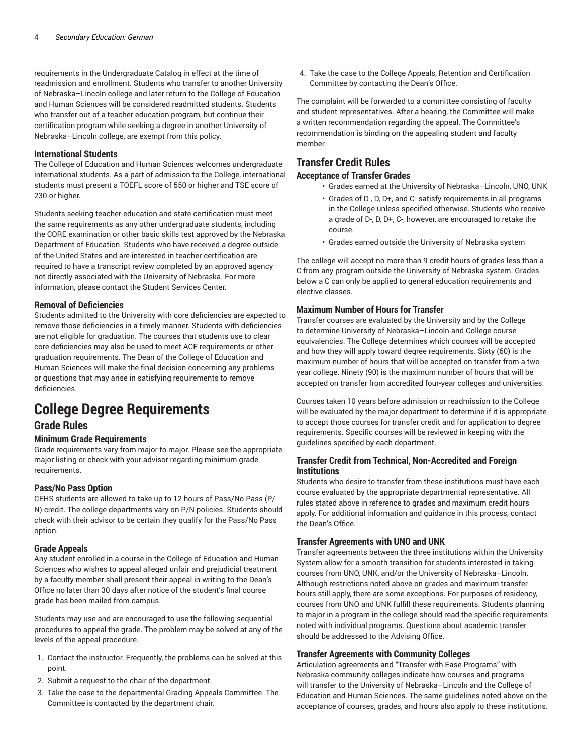requirements in the Undergraduate Catalog in effect at the time of readmission and enrollment. Students who transfer to another University of Nebraska–Lincoln college and later return to the College of Education and Human Sciences will be considered readmitted students. Students who transfer out of a teacher education program, but continue their certification program while seeking a degree in another University of Nebraska–Lincoln college, are exempt from this policy.

## **International Students**

The College of Education and Human Sciences welcomes undergraduate international students. As a part of admission to the College, international students must present a TOEFL score of 550 or higher and TSE score of 230 or higher.

Students seeking teacher education and state certification must meet the same requirements as any other undergraduate students, including the CORE examination or other basic skills test approved by the Nebraska Department of Education. Students who have received a degree outside of the United States and are interested in teacher certification are required to have a transcript review completed by an approved agency not directly associated with the University of Nebraska. For more information, please contact the Student Services Center.

# **Removal of Deficiencies**

Students admitted to the University with core deficiencies are expected to remove those deficiencies in a timely manner. Students with deficiencies are not eligible for graduation. The courses that students use to clear core deficiencies may also be used to meet ACE requirements or other graduation requirements. The Dean of the College of Education and Human Sciences will make the final decision concerning any problems or questions that may arise in satisfying requirements to remove deficiencies.

# **College Degree Requirements**

# **Grade Rules**

# **Minimum Grade Requirements**

Grade requirements vary from major to major. Please see the appropriate major listing or check with your advisor regarding minimum grade requirements.

# **Pass/No Pass Option**

CEHS students are allowed to take up to 12 hours of Pass/No Pass (P/ N) credit. The college departments vary on P/N policies. Students should check with their advisor to be certain they qualify for the Pass/No Pass option.

# **Grade Appeals**

Any student enrolled in a course in the College of Education and Human Sciences who wishes to appeal alleged unfair and prejudicial treatment by a faculty member shall present their appeal in writing to the Dean's Office no later than 30 days after notice of the student's final course grade has been mailed from campus.

Students may use and are encouraged to use the following sequential procedures to appeal the grade. The problem may be solved at any of the levels of the appeal procedure.

- 1. Contact the instructor. Frequently, the problems can be solved at this point.
- 2. Submit a request to the chair of the department.
- 3. Take the case to the departmental Grading Appeals Committee. The Committee is contacted by the department chair.

4. Take the case to the College Appeals, Retention and Certification Committee by contacting the Dean's Office.

The complaint will be forwarded to a committee consisting of faculty and student representatives. After a hearing, the Committee will make a written recommendation regarding the appeal. The Committee's recommendation is binding on the appealing student and faculty member.

# **Transfer Credit Rules**

# **Acceptance of Transfer Grades**

- Grades earned at the University of Nebraska–Lincoln, UNO, UNK
- Grades of D-, D, D+, and C- satisfy requirements in all programs in the College unless specified otherwise. Students who receive a grade of D-, D, D+, C-, however, are encouraged to retake the course.
- Grades earned outside the University of Nebraska system

The college will accept no more than 9 credit hours of grades less than a C from any program outside the University of Nebraska system. Grades below a C can only be applied to general education requirements and elective classes.

# **Maximum Number of Hours for Transfer**

Transfer courses are evaluated by the University and by the College to determine University of Nebraska–Lincoln and College course equivalencies. The College determines which courses will be accepted and how they will apply toward degree requirements. Sixty (60) is the maximum number of hours that will be accepted on transfer from a twoyear college. Ninety (90) is the maximum number of hours that will be accepted on transfer from accredited four-year colleges and universities.

Courses taken 10 years before admission or readmission to the College will be evaluated by the major department to determine if it is appropriate to accept those courses for transfer credit and for application to degree requirements. Specific courses will be reviewed in keeping with the guidelines specified by each department.

# **Transfer Credit from Technical, Non-Accredited and Foreign Institutions**

Students who desire to transfer from these institutions must have each course evaluated by the appropriate departmental representative. All rules stated above in reference to grades and maximum credit hours apply. For additional information and guidance in this process, contact the Dean's Office.

# **Transfer Agreements with UNO and UNK**

Transfer agreements between the three institutions within the University System allow for a smooth transition for students interested in taking courses from UNO, UNK, and/or the University of Nebraska–Lincoln. Although restrictions noted above on grades and maximum transfer hours still apply, there are some exceptions. For purposes of residency, courses from UNO and UNK fulfill these requirements. Students planning to major in a program in the college should read the specific requirements noted with individual programs. Questions about academic transfer should be addressed to the Advising Office.

# **Transfer Agreements with Community Colleges**

Articulation agreements and "Transfer with Ease Programs" with Nebraska community colleges indicate how courses and programs will transfer to the University of Nebraska–Lincoln and the College of Education and Human Sciences. The same guidelines noted above on the acceptance of courses, grades, and hours also apply to these institutions.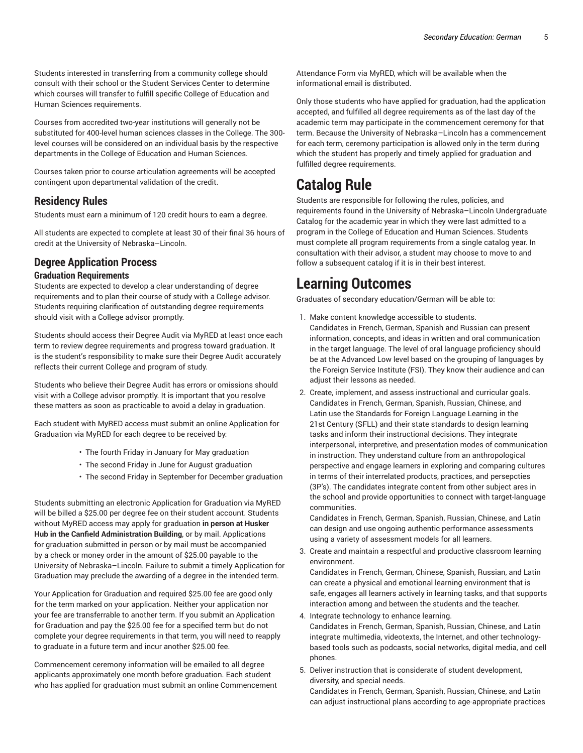Students interested in transferring from a community college should consult with their school or the Student Services Center to determine which courses will transfer to fulfill specific College of Education and Human Sciences requirements.

Courses from accredited two-year institutions will generally not be substituted for 400-level human sciences classes in the College. The 300 level courses will be considered on an individual basis by the respective departments in the College of Education and Human Sciences.

Courses taken prior to course articulation agreements will be accepted contingent upon departmental validation of the credit.

# **Residency Rules**

Students must earn a minimum of 120 credit hours to earn a degree.

All students are expected to complete at least 30 of their final 36 hours of credit at the University of Nebraska–Lincoln.

# **Degree Application Process**

# **Graduation Requirements**

Students are expected to develop a clear understanding of degree requirements and to plan their course of study with a College advisor. Students requiring clarification of outstanding degree requirements should visit with a College advisor promptly.

Students should access their Degree Audit via MyRED at least once each term to review degree requirements and progress toward graduation. It is the student's responsibility to make sure their Degree Audit accurately reflects their current College and program of study.

Students who believe their Degree Audit has errors or omissions should visit with a College advisor promptly. It is important that you resolve these matters as soon as practicable to avoid a delay in graduation.

Each student with MyRED access must submit an online Application for Graduation via MyRED for each degree to be received by:

- The fourth Friday in January for May graduation
- The second Friday in June for August graduation
- The second Friday in September for December graduation

Students submitting an electronic Application for Graduation via MyRED will be billed a \$25.00 per degree fee on their student account. Students without MyRED access may apply for graduation **in person at Husker Hub in the Canfield Administration Building**, or by mail. Applications for graduation submitted in person or by mail must be accompanied by a check or money order in the amount of \$25.00 payable to the University of Nebraska–Lincoln. Failure to submit a timely Application for Graduation may preclude the awarding of a degree in the intended term.

Your Application for Graduation and required \$25.00 fee are good only for the term marked on your application. Neither your application nor your fee are transferrable to another term. If you submit an Application for Graduation and pay the \$25.00 fee for a specified term but do not complete your degree requirements in that term, you will need to reapply to graduate in a future term and incur another \$25.00 fee.

Commencement ceremony information will be emailed to all degree applicants approximately one month before graduation. Each student who has applied for graduation must submit an online Commencement Attendance Form via MyRED, which will be available when the informational email is distributed.

Only those students who have applied for graduation, had the application accepted, and fulfilled all degree requirements as of the last day of the academic term may participate in the commencement ceremony for that term. Because the University of Nebraska–Lincoln has a commencement for each term, ceremony participation is allowed only in the term during which the student has properly and timely applied for graduation and fulfilled degree requirements.

# **Catalog Rule**

Students are responsible for following the rules, policies, and requirements found in the University of Nebraska–Lincoln Undergraduate Catalog for the academic year in which they were last admitted to a program in the College of Education and Human Sciences. Students must complete all program requirements from a single catalog year. In consultation with their advisor, a student may choose to move to and follow a subsequent catalog if it is in their best interest.

# **Learning Outcomes**

Graduates of secondary education/German will be able to:

- 1. Make content knowledge accessible to students. Candidates in French, German, Spanish and Russian can present information, concepts, and ideas in written and oral communication in the target language. The level of oral language proficiency should be at the Advanced Low level based on the grouping of languages by the Foreign Service Institute (FSI). They know their audience and can adjust their lessons as needed.
- 2. Create, implement, and assess instructional and curricular goals. Candidates in French, German, Spanish, Russian, Chinese, and Latin use the Standards for Foreign Language Learning in the 21st Century (SFLL) and their state standards to design learning tasks and inform their instructional decisions. They integrate interpersonal, interpretive, and presentation modes of communication in instruction. They understand culture from an anthropological perspective and engage learners in exploring and comparing cultures in terms of their interrelated products, practices, and persepcties (3P's). The candidates integrate content from other subject ares in the school and provide opportunities to connect with target-language communities.

Candidates in French, German, Spanish, Russian, Chinese, and Latin can design and use ongoing authentic performance assessments using a variety of assessment models for all learners.

3. Create and maintain a respectful and productive classroom learning environment.

Candidates in French, German, Chinese, Spanish, Russian, and Latin can create a physical and emotional learning environment that is safe, engages all learners actively in learning tasks, and that supports interaction among and between the students and the teacher.

- 4. Integrate technology to enhance learning. Candidates in French, German, Spanish, Russian, Chinese, and Latin integrate multimedia, videotexts, the Internet, and other technologybased tools such as podcasts, social networks, digital media, and cell phones.
- 5. Deliver instruction that is considerate of student development, diversity, and special needs.

Candidates in French, German, Spanish, Russian, Chinese, and Latin can adjust instructional plans according to age-appropriate practices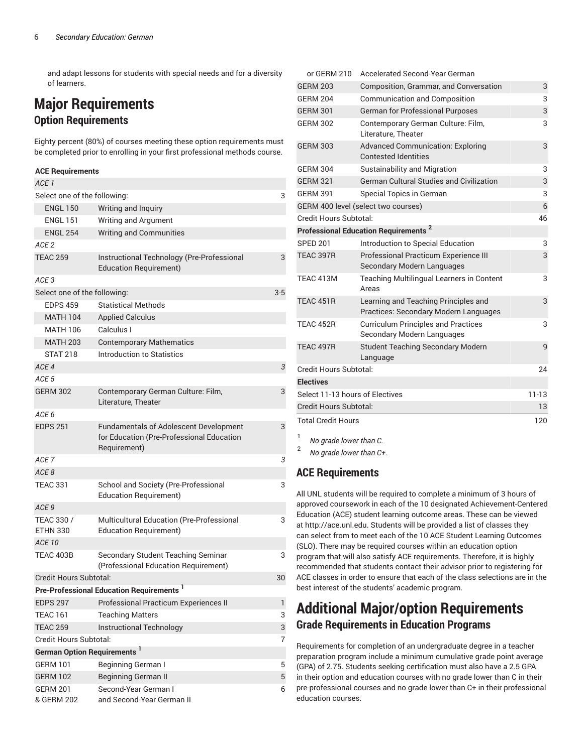and adapt lessons for students with special needs and for a diversity of learners.

# **Major Requirements Option Requirements**

Eighty percent (80%) of courses meeting these option requirements must be completed prior to enrolling in your first professional methods course.

# **ACE Requirements**

| ACE <sub>1</sub>                  |                                                                                                            |       |
|-----------------------------------|------------------------------------------------------------------------------------------------------------|-------|
| Select one of the following:      |                                                                                                            | 3     |
| <b>ENGL 150</b>                   | Writing and Inquiry                                                                                        |       |
| <b>ENGL 151</b>                   | Writing and Argument                                                                                       |       |
| <b>ENGL 254</b>                   | <b>Writing and Communities</b>                                                                             |       |
| ACE <sub>2</sub>                  |                                                                                                            |       |
| <b>TEAC 259</b>                   | Instructional Technology (Pre-Professional<br><b>Education Requirement)</b>                                | 3     |
| ACE 3                             |                                                                                                            |       |
| Select one of the following:      |                                                                                                            | $3-5$ |
| <b>EDPS 459</b>                   | <b>Statistical Methods</b>                                                                                 |       |
| <b>MATH 104</b>                   | <b>Applied Calculus</b>                                                                                    |       |
| <b>MATH 106</b>                   | Calculus I                                                                                                 |       |
| <b>MATH 203</b>                   | <b>Contemporary Mathematics</b>                                                                            |       |
| <b>STAT 218</b>                   | <b>Introduction to Statistics</b>                                                                          |       |
| ACE 4                             |                                                                                                            | 3     |
| ACE 5                             |                                                                                                            |       |
| <b>GERM 302</b>                   | Contemporary German Culture: Film,                                                                         | 3     |
|                                   | Literature, Theater                                                                                        |       |
| ACE 6                             |                                                                                                            |       |
| <b>EDPS 251</b>                   | <b>Fundamentals of Adolescent Development</b><br>for Education (Pre-Professional Education<br>Requirement) | 3     |
| ACE 7                             |                                                                                                            | 3     |
| ACE <sub>8</sub>                  |                                                                                                            |       |
| <b>TEAC 331</b>                   | School and Society (Pre-Professional<br><b>Education Requirement)</b>                                      | 3     |
| ACE <sub>9</sub>                  |                                                                                                            |       |
| TEAC 330 /<br><b>ETHN 330</b>     | Multicultural Education (Pre-Professional<br><b>Education Requirement)</b>                                 | 3     |
| <b>ACE 10</b>                     |                                                                                                            |       |
| TEAC 403B                         | Secondary Student Teaching Seminar<br>(Professional Education Requirement)                                 | 3     |
| Credit Hours Subtotal:            |                                                                                                            | 30    |
|                                   | Pre-Professional Education Requirements <sup>1</sup>                                                       |       |
| <b>EDPS 297</b>                   | Professional Practicum Experiences II                                                                      | L     |
| <b>TEAC 161</b>                   | <b>Teaching Matters</b>                                                                                    | 3     |
| <b>TEAC 259</b>                   | <b>Instructional Technology</b>                                                                            | 3     |
| Credit Hours Subtotal:            |                                                                                                            | 7     |
| <b>German Option Requirements</b> |                                                                                                            |       |
| <b>GERM 101</b>                   | Beginning German I                                                                                         | 5     |
| <b>GERM 102</b>                   | <b>Beginning German II</b>                                                                                 | 5     |
| <b>GERM 201</b><br>& GERM 202     | Second-Year German I<br>and Second-Year German II                                                          | 6     |

| or GERM 210                     | Accelerated Second-Year German                                                |           |
|---------------------------------|-------------------------------------------------------------------------------|-----------|
| <b>GERM 203</b>                 | Composition, Grammar, and Conversation                                        | 3         |
| <b>GERM 204</b>                 | <b>Communication and Composition</b>                                          | 3         |
| <b>GERM 301</b>                 | <b>German for Professional Purposes</b>                                       | 3         |
| <b>GERM 302</b>                 | Contemporary German Culture: Film,<br>Literature, Theater                     | 3         |
| <b>GERM 303</b>                 | <b>Advanced Communication: Exploring</b><br><b>Contested Identities</b>       | 3         |
| <b>GERM 304</b>                 | Sustainability and Migration                                                  | 3         |
| <b>GERM 321</b>                 | <b>German Cultural Studies and Civilization</b>                               | 3         |
| <b>GERM 391</b>                 | Special Topics in German                                                      | 3         |
|                                 | GERM 400 level (select two courses)                                           | 6         |
| Credit Hours Subtotal:          |                                                                               | 46        |
|                                 | <b>Professional Education Requirements<sup>2</sup></b>                        |           |
| <b>SPED 201</b>                 | Introduction to Special Education                                             | 3         |
| TEAC 397R                       | Professional Practicum Experience III<br><b>Secondary Modern Languages</b>    | 3         |
| TEAC 413M                       | <b>Teaching Multilingual Learners in Content</b><br>Areas                     | 3         |
| <b>TEAC 451R</b>                | Learning and Teaching Principles and<br>Practices: Secondary Modern Languages | 3         |
| TEAC 452R                       | <b>Curriculum Principles and Practices</b><br>Secondary Modern Languages      | 3         |
| TEAC 497R                       | <b>Student Teaching Secondary Modern</b><br>Language                          | 9         |
| Credit Hours Subtotal:          |                                                                               | 24        |
| <b>Electives</b>                |                                                                               |           |
| Select 11-13 hours of Electives |                                                                               | $11 - 13$ |
| Credit Hours Subtotal:          |                                                                               | 13        |
| <b>Total Credit Hours</b>       |                                                                               |           |
| 1 $\mu$ and $\mu$ and $\mu$     |                                                                               |           |

*No grade lower than C.* 2

*No grade lower than C+.*

# **ACE Requirements**

All UNL students will be required to complete a minimum of 3 hours of approved coursework in each of the 10 designated Achievement-Centered Education (ACE) student learning outcome areas. These can be viewed at <http://ace.unl.edu>. Students will be provided a list of classes they can select from to meet each of the 10 ACE Student Learning Outcomes (SLO). There may be required courses within an education option program that will also satisfy ACE requirements. Therefore, it is highly recommended that students contact their advisor prior to registering for ACE classes in order to ensure that each of the class selections are in the best interest of the students' academic program.

# **Additional Major/option Requirements Grade Requirements in Education Programs**

Requirements for completion of an undergraduate degree in a teacher preparation program include a minimum cumulative grade point average (GPA) of 2.75. Students seeking certification must also have a 2.5 GPA in their option and education courses with no grade lower than C in their pre-professional courses and no grade lower than C+ in their professional education courses.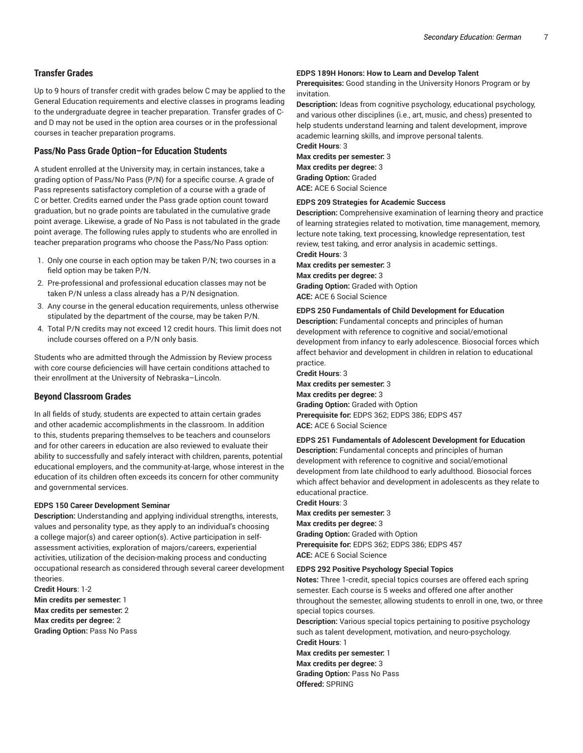# **Transfer Grades**

Up to 9 hours of transfer credit with grades below C may be applied to the General Education requirements and elective classes in programs leading to the undergraduate degree in teacher preparation. Transfer grades of Cand D may not be used in the option area courses or in the professional courses in teacher preparation programs.

# **Pass/No Pass Grade Option–for Education Students**

A student enrolled at the University may, in certain instances, take a grading option of Pass/No Pass (P/N) for a specific course. A grade of Pass represents satisfactory completion of a course with a grade of C or better. Credits earned under the Pass grade option count toward graduation, but no grade points are tabulated in the cumulative grade point average. Likewise, a grade of No Pass is not tabulated in the grade point average. The following rules apply to students who are enrolled in teacher preparation programs who choose the Pass/No Pass option:

- 1. Only one course in each option may be taken P/N; two courses in a field option may be taken P/N.
- 2. Pre-professional and professional education classes may not be taken P/N unless a class already has a P/N designation.
- 3. Any course in the general education requirements, unless otherwise stipulated by the department of the course, may be taken P/N.
- 4. Total P/N credits may not exceed 12 credit hours. This limit does not include courses offered on a P/N only basis.

Students who are admitted through the Admission by Review process with core course deficiencies will have certain conditions attached to their enrollment at the University of Nebraska–Lincoln.

# **Beyond Classroom Grades**

In all fields of study, students are expected to attain certain grades and other academic accomplishments in the classroom. In addition to this, students preparing themselves to be teachers and counselors and for other careers in education are also reviewed to evaluate their ability to successfully and safely interact with children, parents, potential educational employers, and the community-at-large, whose interest in the education of its children often exceeds its concern for other community and governmental services.

#### **EDPS 150 Career Development Seminar**

**Description:** Understanding and applying individual strengths, interests, values and personality type, as they apply to an individual's choosing a college major(s) and career option(s). Active participation in selfassessment activities, exploration of majors/careers, experiential activities, utilization of the decision-making process and conducting occupational research as considered through several career development theories.

**Credit Hours**: 1-2 **Min credits per semester:** 1 **Max credits per semester:** 2 **Max credits per degree:** 2 **Grading Option:** Pass No Pass

#### **EDPS 189H Honors: How to Learn and Develop Talent**

**Prerequisites:** Good standing in the University Honors Program or by invitation.

**Description:** Ideas from cognitive psychology, educational psychology, and various other disciplines (i.e., art, music, and chess) presented to help students understand learning and talent development, improve academic learning skills, and improve personal talents.

**Credit Hours**: 3 **Max credits per semester:** 3 **Max credits per degree:** 3 **Grading Option:** Graded **ACE:** ACE 6 Social Science

#### **EDPS 209 Strategies for Academic Success**

**Description:** Comprehensive examination of learning theory and practice of learning strategies related to motivation, time management, memory, lecture note taking, text processing, knowledge representation, test review, test taking, and error analysis in academic settings. **Credit Hours**: 3

**Max credits per semester:** 3 **Max credits per degree:** 3 **Grading Option:** Graded with Option **ACE:** ACE 6 Social Science

#### **EDPS 250 Fundamentals of Child Development for Education**

**Description:** Fundamental concepts and principles of human development with reference to cognitive and social/emotional development from infancy to early adolescence. Biosocial forces which affect behavior and development in children in relation to educational practice.

**Credit Hours**: 3 **Max credits per semester:** 3 **Max credits per degree:** 3 **Grading Option:** Graded with Option **Prerequisite for:** EDPS 362; EDPS 386; EDPS 457 **ACE:** ACE 6 Social Science

#### **EDPS 251 Fundamentals of Adolescent Development for Education**

**Description:** Fundamental concepts and principles of human development with reference to cognitive and social/emotional development from late childhood to early adulthood. Biosocial forces which affect behavior and development in adolescents as they relate to educational practice.

# **Credit Hours**: 3 **Max credits per semester:** 3 **Max credits per degree:** 3 **Grading Option:** Graded with Option

**Prerequisite for:** EDPS 362; EDPS 386; EDPS 457 **ACE:** ACE 6 Social Science

#### **EDPS 292 Positive Psychology Special Topics**

**Notes:** Three 1-credit, special topics courses are offered each spring semester. Each course is 5 weeks and offered one after another throughout the semester, allowing students to enroll in one, two, or three special topics courses.

**Description:** Various special topics pertaining to positive psychology such as talent development, motivation, and neuro-psychology. **Credit Hours**: 1

**Max credits per semester:** 1 **Max credits per degree:** 3 **Grading Option:** Pass No Pass **Offered:** SPRING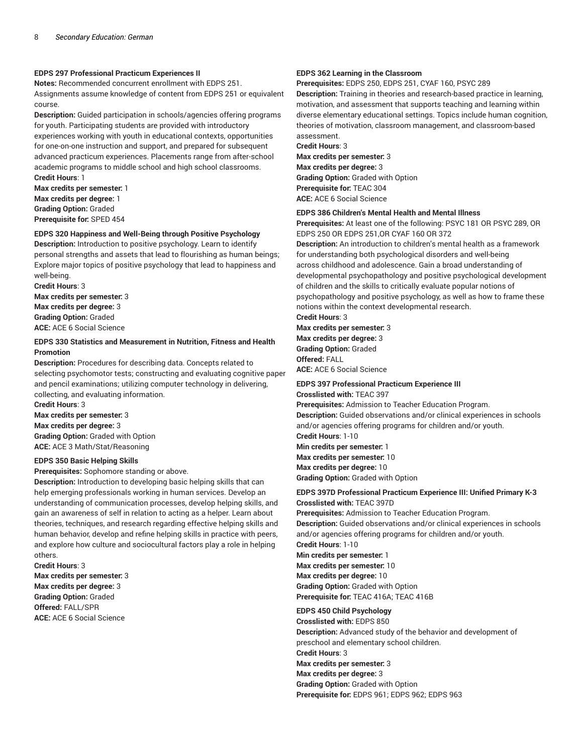#### **EDPS 297 Professional Practicum Experiences II**

**Notes:** Recommended concurrent enrollment with EDPS 251. Assignments assume knowledge of content from EDPS 251 or equivalent course.

**Description:** Guided participation in schools/agencies offering programs for youth. Participating students are provided with introductory experiences working with youth in educational contexts, opportunities for one-on-one instruction and support, and prepared for subsequent advanced practicum experiences. Placements range from after-school academic programs to middle school and high school classrooms. **Credit Hours**: 1

**Max credits per semester:** 1 **Max credits per degree:** 1 **Grading Option:** Graded **Prerequisite for:** SPED 454

# **EDPS 320 Happiness and Well-Being through Positive Psychology**

**Description:** Introduction to positive psychology. Learn to identify personal strengths and assets that lead to flourishing as human beings; Explore major topics of positive psychology that lead to happiness and well-being.

**Credit Hours**: 3 **Max credits per semester:** 3 **Max credits per degree:** 3 **Grading Option:** Graded **ACE:** ACE 6 Social Science

#### **EDPS 330 Statistics and Measurement in Nutrition, Fitness and Health Promotion**

**Description:** Procedures for describing data. Concepts related to selecting psychomotor tests; constructing and evaluating cognitive paper and pencil examinations; utilizing computer technology in delivering, collecting, and evaluating information.

**Credit Hours**: 3 **Max credits per semester:** 3 **Max credits per degree:** 3 **Grading Option:** Graded with Option **ACE:** ACE 3 Math/Stat/Reasoning

#### **EDPS 350 Basic Helping Skills**

**Prerequisites:** Sophomore standing or above.

**Description:** Introduction to developing basic helping skills that can help emerging professionals working in human services. Develop an understanding of communication processes, develop helping skills, and gain an awareness of self in relation to acting as a helper. Learn about theories, techniques, and research regarding effective helping skills and human behavior, develop and refine helping skills in practice with peers, and explore how culture and sociocultural factors play a role in helping others.

**Credit Hours**: 3 **Max credits per semester:** 3 **Max credits per degree:** 3 **Grading Option:** Graded **Offered:** FALL/SPR **ACE:** ACE 6 Social Science

#### **EDPS 362 Learning in the Classroom**

**Prerequisites:** EDPS 250, EDPS 251, CYAF 160, PSYC 289

**Description:** Training in theories and research-based practice in learning, motivation, and assessment that supports teaching and learning within diverse elementary educational settings. Topics include human cognition, theories of motivation, classroom management, and classroom-based assessment.

**Credit Hours**: 3 **Max credits per semester:** 3 **Max credits per degree:** 3 **Grading Option:** Graded with Option **Prerequisite for:** TEAC 304 **ACE:** ACE 6 Social Science

#### **EDPS 386 Children's Mental Health and Mental Illness**

**Prerequisites:** At least one of the following: PSYC 181 OR PSYC 289, OR EDPS 250 OR EDPS 251,OR CYAF 160 OR 372

**Description:** An introduction to children's mental health as a framework for understanding both psychological disorders and well-being across childhood and adolescence. Gain a broad understanding of developmental psychopathology and positive psychological development of children and the skills to critically evaluate popular notions of psychopathology and positive psychology, as well as how to frame these notions within the context developmental research.

# **Credit Hours**: 3

**Max credits per semester:** 3 **Max credits per degree:** 3 **Grading Option:** Graded **Offered:** FALL **ACE:** ACE 6 Social Science

#### **EDPS 397 Professional Practicum Experience III**

**Crosslisted with:** TEAC 397

**Prerequisites:** Admission to Teacher Education Program. **Description:** Guided observations and/or clinical experiences in schools and/or agencies offering programs for children and/or youth. **Credit Hours**: 1-10

**Min credits per semester:** 1 **Max credits per semester:** 10 **Max credits per degree:** 10 **Grading Option:** Graded with Option

#### **EDPS 397D Professional Practicum Experience III: Unified Primary K-3 Crosslisted with:** TEAC 397D

**Prerequisites:** Admission to Teacher Education Program.

**Description:** Guided observations and/or clinical experiences in schools and/or agencies offering programs for children and/or youth.

**Credit Hours**: 1-10 **Min credits per semester:** 1 **Max credits per semester:** 10

**Max credits per degree:** 10 **Grading Option:** Graded with Option **Prerequisite for:** TEAC 416A; TEAC 416B

#### **EDPS 450 Child Psychology**

**Crosslisted with:** EDPS 850 **Description:** Advanced study of the behavior and development of preschool and elementary school children. **Credit Hours**: 3 **Max credits per semester:** 3

**Max credits per degree:** 3

**Grading Option:** Graded with Option

**Prerequisite for:** EDPS 961; EDPS 962; EDPS 963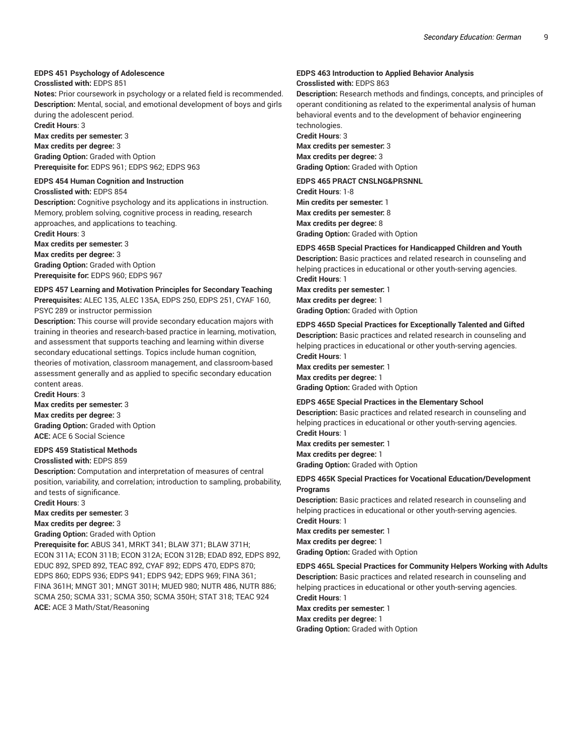### **EDPS 451 Psychology of Adolescence**

#### **Crosslisted with:** EDPS 851

**Notes:** Prior coursework in psychology or a related field is recommended. **Description:** Mental, social, and emotional development of boys and girls during the adolescent period.

**Credit Hours**: 3

**Max credits per semester:** 3

**Max credits per degree:** 3 **Grading Option:** Graded with Option **Prerequisite for:** EDPS 961; EDPS 962; EDPS 963

#### **EDPS 454 Human Cognition and Instruction**

**Crosslisted with:** EDPS 854

**Description:** Cognitive psychology and its applications in instruction. Memory, problem solving, cognitive process in reading, research approaches, and applications to teaching.

**Credit Hours**: 3 **Max credits per semester:** 3 **Max credits per degree:** 3 **Grading Option:** Graded with Option **Prerequisite for:** EDPS 960; EDPS 967

# **EDPS 457 Learning and Motivation Principles for Secondary Teaching**

**Prerequisites:** ALEC 135, ALEC 135A, EDPS 250, EDPS 251, CYAF 160, PSYC 289 or instructor permission

**Description:** This course will provide secondary education majors with training in theories and research-based practice in learning, motivation, and assessment that supports teaching and learning within diverse secondary educational settings. Topics include human cognition, theories of motivation, classroom management, and classroom-based assessment generally and as applied to specific secondary education content areas.

**Credit Hours**: 3 **Max credits per semester:** 3 **Max credits per degree:** 3 **Grading Option:** Graded with Option **ACE:** ACE 6 Social Science

# **EDPS 459 Statistical Methods**

**Crosslisted with:** EDPS 859

**Description:** Computation and interpretation of measures of central position, variability, and correlation; introduction to sampling, probability, and tests of significance.

**Credit Hours**: 3

#### **Max credits per semester:** 3

**Max credits per degree:** 3

#### **Grading Option:** Graded with Option

**Prerequisite for:** ABUS 341, MRKT 341; BLAW 371; BLAW 371H; ECON 311A; ECON 311B; ECON 312A; ECON 312B; EDAD 892, EDPS 892, EDUC 892, SPED 892, TEAC 892, CYAF 892; EDPS 470, EDPS 870; EDPS 860; EDPS 936; EDPS 941; EDPS 942; EDPS 969; FINA 361; FINA 361H; MNGT 301; MNGT 301H; MUED 980; NUTR 486, NUTR 886; SCMA 250; SCMA 331; SCMA 350; SCMA 350H; STAT 318; TEAC 924 **ACE:** ACE 3 Math/Stat/Reasoning

#### **EDPS 463 Introduction to Applied Behavior Analysis Crosslisted with:** EDPS 863

**Description:** Research methods and findings, concepts, and principles of operant conditioning as related to the experimental analysis of human behavioral events and to the development of behavior engineering

technologies. **Credit Hours**: 3 **Max credits per semester:** 3 **Max credits per degree:** 3 **Grading Option:** Graded with Option

#### **EDPS 465 PRACT CNSLNG&PRSNNL**

**Credit Hours**: 1-8 **Min credits per semester:** 1 **Max credits per semester:** 8 **Max credits per degree:** 8 **Grading Option:** Graded with Option

**EDPS 465B Special Practices for Handicapped Children and Youth Description:** Basic practices and related research in counseling and helping practices in educational or other youth-serving agencies. **Credit Hours**: 1 **Max credits per semester:** 1 **Max credits per degree:** 1

**Grading Option:** Graded with Option

#### **EDPS 465D Special Practices for Exceptionally Talented and Gifted Description:** Basic practices and related research in counseling and helping practices in educational or other youth-serving agencies. **Credit Hours**: 1

**Max credits per semester:** 1 **Max credits per degree:** 1 **Grading Option:** Graded with Option

#### **EDPS 465E Special Practices in the Elementary School**

**Description:** Basic practices and related research in counseling and helping practices in educational or other youth-serving agencies. **Credit Hours**: 1

**Max credits per semester:** 1 **Max credits per degree:** 1 **Grading Option:** Graded with Option

#### **EDPS 465K Special Practices for Vocational Education/Development Programs**

**Description:** Basic practices and related research in counseling and helping practices in educational or other youth-serving agencies. **Credit Hours**: 1

**Max credits per semester:** 1 **Max credits per degree:** 1 **Grading Option:** Graded with Option

**EDPS 465L Special Practices for Community Helpers Working with Adults Description:** Basic practices and related research in counseling and helping practices in educational or other youth-serving agencies. **Credit Hours**: 1

**Max credits per semester:** 1 **Max credits per degree:** 1 **Grading Option:** Graded with Option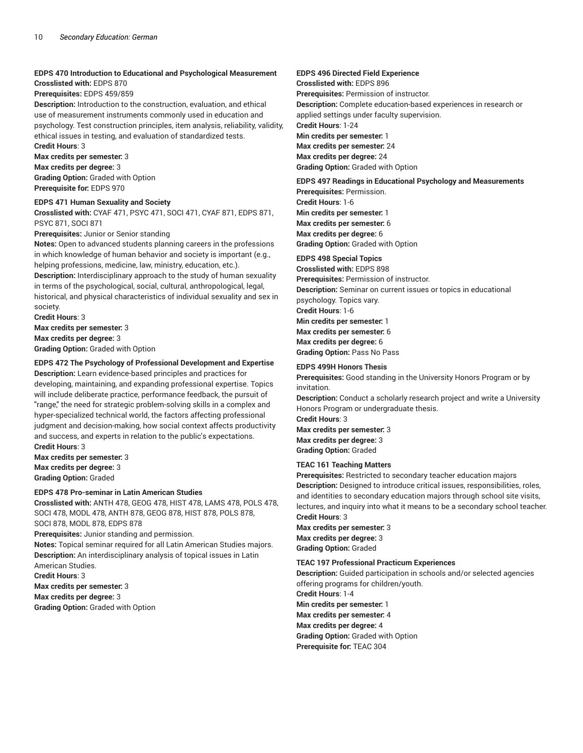# **EDPS 470 Introduction to Educational and Psychological Measurement**

# **Crosslisted with:** EDPS 870

**Prerequisites:** EDPS 459/859

**Description:** Introduction to the construction, evaluation, and ethical use of measurement instruments commonly used in education and psychology. Test construction principles, item analysis, reliability, validity, ethical issues in testing, and evaluation of standardized tests.

**Credit Hours**: 3 **Max credits per semester:** 3 **Max credits per degree:** 3 **Grading Option:** Graded with Option **Prerequisite for:** EDPS 970

#### **EDPS 471 Human Sexuality and Society**

**Crosslisted with:** CYAF 471, PSYC 471, SOCI 471, CYAF 871, EDPS 871, PSYC 871, SOCI 871

#### **Prerequisites:** Junior or Senior standing

**Notes:** Open to advanced students planning careers in the professions in which knowledge of human behavior and society is important (e.g., helping professions, medicine, law, ministry, education, etc.). **Description:** Interdisciplinary approach to the study of human sexuality

in terms of the psychological, social, cultural, anthropological, legal, historical, and physical characteristics of individual sexuality and sex in society.

**Credit Hours**: 3 **Max credits per semester:** 3 **Max credits per degree:** 3 **Grading Option:** Graded with Option

# **EDPS 472 The Psychology of Professional Development and Expertise**

**Description:** Learn evidence-based principles and practices for developing, maintaining, and expanding professional expertise. Topics will include deliberate practice, performance feedback, the pursuit of "range," the need for strategic problem-solving skills in a complex and hyper-specialized technical world, the factors affecting professional judgment and decision-making, how social context affects productivity and success, and experts in relation to the public's expectations. **Credit Hours**: 3

**Max credits per semester:** 3 **Max credits per degree:** 3 **Grading Option:** Graded

# **EDPS 478 Pro-seminar in Latin American Studies**

**Crosslisted with:** ANTH 478, GEOG 478, HIST 478, LAMS 478, POLS 478, SOCI 478, MODL 478, ANTH 878, GEOG 878, HIST 878, POLS 878, SOCI 878, MODL 878, EDPS 878

**Prerequisites:** Junior standing and permission.

**Notes:** Topical seminar required for all Latin American Studies majors. **Description:** An interdisciplinary analysis of topical issues in Latin American Studies.

**Credit Hours**: 3

**Max credits per semester:** 3

**Max credits per degree:** 3

**Grading Option:** Graded with Option

# **EDPS 496 Directed Field Experience**

**Crosslisted with:** EDPS 896 **Prerequisites:** Permission of instructor. **Description:** Complete education-based experiences in research or applied settings under faculty supervision. **Credit Hours**: 1-24 **Min credits per semester:** 1 **Max credits per semester:** 24 **Max credits per degree:** 24 **Grading Option:** Graded with Option

## **EDPS 497 Readings in Educational Psychology and Measurements**

**Prerequisites:** Permission. **Credit Hours**: 1-6 **Min credits per semester:** 1 **Max credits per semester:** 6 **Max credits per degree:** 6 **Grading Option:** Graded with Option

#### **EDPS 498 Special Topics**

**Crosslisted with:** EDPS 898 **Prerequisites:** Permission of instructor. **Description:** Seminar on current issues or topics in educational psychology. Topics vary. **Credit Hours**: 1-6 **Min credits per semester:** 1 **Max credits per semester:** 6 **Max credits per degree:** 6 **Grading Option:** Pass No Pass

#### **EDPS 499H Honors Thesis**

**Prerequisites:** Good standing in the University Honors Program or by invitation.

**Description:** Conduct a scholarly research project and write a University Honors Program or undergraduate thesis. **Credit Hours**: 3 **Max credits per semester:** 3

**Max credits per degree:** 3 **Grading Option:** Graded

# **TEAC 161 Teaching Matters**

**Prerequisites:** Restricted to secondary teacher education majors **Description:** Designed to introduce critical issues, responsibilities, roles, and identities to secondary education majors through school site visits, lectures, and inquiry into what it means to be a secondary school teacher. **Credit Hours**: 3

**Max credits per semester:** 3 **Max credits per degree:** 3 **Grading Option:** Graded

# **TEAC 197 Professional Practicum Experiences**

**Description:** Guided participation in schools and/or selected agencies offering programs for children/youth.

**Credit Hours**: 1-4 **Min credits per semester:** 1 **Max credits per semester:** 4 **Max credits per degree:** 4 **Grading Option:** Graded with Option **Prerequisite for:** TEAC 304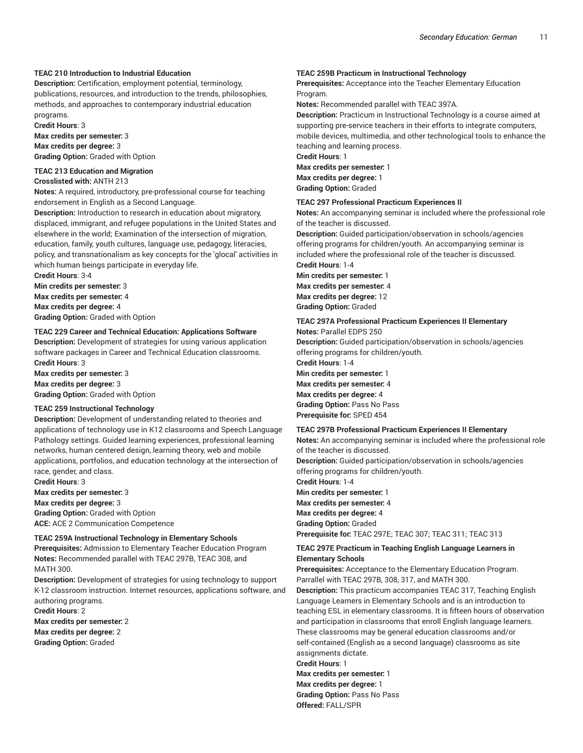### **TEAC 210 Introduction to Industrial Education**

**Description:** Certification, employment potential, terminology, publications, resources, and introduction to the trends, philosophies, methods, and approaches to contemporary industrial education programs.

**Credit Hours**: 3 **Max credits per semester:** 3 **Max credits per degree:** 3

**Grading Option:** Graded with Option

#### **TEAC 213 Education and Migration Crosslisted with:** ANTH 213

**Notes:** A required, introductory, pre-professional course for teaching endorsement in English as a Second Language.

**Description:** Introduction to research in education about migratory, displaced, immigrant, and refugee populations in the United States and elsewhere in the world; Examination of the intersection of migration, education, family, youth cultures, language use, pedagogy, literacies, policy, and transnationalism as key concepts for the 'glocal' activities in which human beings participate in everyday life.

**Credit Hours**: 3-4 **Min credits per semester:** 3 **Max credits per semester:** 4 **Max credits per degree:** 4

**Grading Option:** Graded with Option

#### **TEAC 229 Career and Technical Education: Applications Software**

**Description:** Development of strategies for using various application software packages in Career and Technical Education classrooms. **Credit Hours**: 3

**Max credits per semester:** 3 **Max credits per degree:** 3 **Grading Option:** Graded with Option

#### **TEAC 259 Instructional Technology**

**Description:** Development of understanding related to theories and applications of technology use in K12 classrooms and Speech Language Pathology settings. Guided learning experiences, professional learning networks, human centered design, learning theory, web and mobile applications, portfolios, and education technology at the intersection of race, gender, and class.

**Credit Hours**: 3 **Max credits per semester:** 3 **Max credits per degree:** 3 **Grading Option:** Graded with Option **ACE:** ACE 2 Communication Competence

#### **TEAC 259A Instructional Technology in Elementary Schools**

**Prerequisites:** Admission to Elementary Teacher Education Program **Notes:** Recommended parallel with TEAC 297B, TEAC 308, and MATH 300.

**Description:** Development of strategies for using technology to support K-12 classroom instruction. Internet resources, applications software, and authoring programs.

**Credit Hours**: 2 **Max credits per semester:** 2 **Max credits per degree:** 2 **Grading Option:** Graded

#### **TEAC 259B Practicum in Instructional Technology**

**Prerequisites:** Acceptance into the Teacher Elementary Education Program.

**Notes:** Recommended parallel with TEAC 397A.

**Description:** Practicum in Instructional Technology is a course aimed at supporting pre-service teachers in their efforts to integrate computers, mobile devices, multimedia, and other technological tools to enhance the teaching and learning process.

**Credit Hours**: 1 **Max credits per semester:** 1 **Max credits per degree:** 1

**Grading Option:** Graded

#### **TEAC 297 Professional Practicum Experiences II**

**Notes:** An accompanying seminar is included where the professional role of the teacher is discussed.

**Description:** Guided participation/observation in schools/agencies offering programs for children/youth. An accompanying seminar is included where the professional role of the teacher is discussed. **Credit Hours**: 1-4

**Min credits per semester:** 1 **Max credits per semester:** 4 **Max credits per degree:** 12 **Grading Option:** Graded

#### **TEAC 297A Professional Practicum Experiences II Elementary**

**Notes:** Parallel EDPS 250 **Description:** Guided participation/observation in schools/agencies offering programs for children/youth. **Credit Hours**: 1-4

**Min credits per semester:** 1 **Max credits per semester:** 4 **Max credits per degree:** 4 **Grading Option:** Pass No Pass **Prerequisite for:** SPED 454

#### **TEAC 297B Professional Practicum Experiences II Elementary**

**Notes:** An accompanying seminar is included where the professional role of the teacher is discussed.

**Description:** Guided participation/observation in schools/agencies offering programs for children/youth.

**Credit Hours**: 1-4 **Min credits per semester:** 1 **Max credits per semester:** 4 **Max credits per degree:** 4 **Grading Option:** Graded **Prerequisite for:** TEAC 297E; TEAC 307; TEAC 311; TEAC 313

#### **TEAC 297E Practicum in Teaching English Language Learners in Elementary Schools**

**Prerequisites:** Acceptance to the Elementary Education Program. Parrallel with TEAC 297B, 308, 317, and MATH 300.

**Description:** This practicum accompanies TEAC 317, Teaching English Language Learners in Elementary Schools and is an introduction to teaching ESL in elementary classrooms. It is fifteen hours of observation and participation in classrooms that enroll English language learners. These classrooms may be general education classrooms and/or self-contained (English as a second language) classrooms as site assignments dictate.

**Credit Hours**: 1

**Max credits per semester:** 1 **Max credits per degree:** 1

**Grading Option:** Pass No Pass **Offered:** FALL/SPR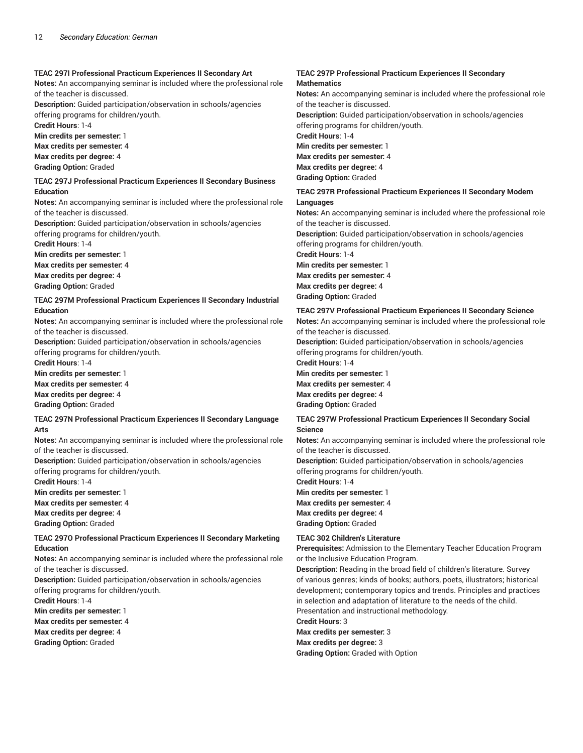## **TEAC 297I Professional Practicum Experiences II Secondary Art**

**Notes:** An accompanying seminar is included where the professional role of the teacher is discussed.

**Description:** Guided participation/observation in schools/agencies

offering programs for children/youth.

**Credit Hours**: 1-4

**Min credits per semester:** 1 **Max credits per semester:** 4

**Max credits per degree:** 4 **Grading Option:** Graded

#### **TEAC 297J Professional Practicum Experiences II Secondary Business Education**

**Notes:** An accompanying seminar is included where the professional role of the teacher is discussed.

**Description:** Guided participation/observation in schools/agencies offering programs for children/youth.

**Credit Hours**: 1-4

**Min credits per semester:** 1

**Max credits per semester:** 4 **Max credits per degree:** 4

**Grading Option:** Graded

#### **TEAC 297M Professional Practicum Experiences II Secondary Industrial Education**

**Notes:** An accompanying seminar is included where the professional role of the teacher is discussed.

**Description:** Guided participation/observation in schools/agencies offering programs for children/youth.

**Credit Hours**: 1-4

**Min credits per semester:** 1 **Max credits per semester:** 4 **Max credits per degree:** 4 **Grading Option:** Graded

#### **TEAC 297N Professional Practicum Experiences II Secondary Language Arts**

**Notes:** An accompanying seminar is included where the professional role of the teacher is discussed.

**Description:** Guided participation/observation in schools/agencies offering programs for children/youth.

**Credit Hours**: 1-4

**Min credits per semester:** 1 **Max credits per semester:** 4 **Max credits per degree:** 4 **Grading Option:** Graded

# **TEAC 297O Professional Practicum Experiences II Secondary Marketing Education**

**Notes:** An accompanying seminar is included where the professional role of the teacher is discussed.

**Description:** Guided participation/observation in schools/agencies offering programs for children/youth.

**Credit Hours**: 1-4

**Min credits per semester:** 1

**Max credits per semester:** 4

**Max credits per degree:** 4 **Grading Option:** Graded

# **TEAC 297P Professional Practicum Experiences II Secondary Mathematics**

**Notes:** An accompanying seminar is included where the professional role of the teacher is discussed. **Description:** Guided participation/observation in schools/agencies offering programs for children/youth. **Credit Hours**: 1-4 **Min credits per semester:** 1 **Max credits per semester:** 4 **Max credits per degree:** 4 **Grading Option:** Graded

#### **TEAC 297R Professional Practicum Experiences II Secondary Modern Languages**

**Notes:** An accompanying seminar is included where the professional role of the teacher is discussed. **Description:** Guided participation/observation in schools/agencies offering programs for children/youth. **Credit Hours**: 1-4 **Min credits per semester:** 1 **Max credits per semester:** 4

**Max credits per degree:** 4 **Grading Option:** Graded

#### **TEAC 297V Professional Practicum Experiences II Secondary Science**

**Notes:** An accompanying seminar is included where the professional role of the teacher is discussed.

**Description:** Guided participation/observation in schools/agencies offering programs for children/youth.

**Credit Hours**: 1-4 **Min credits per semester:** 1 **Max credits per semester:** 4 **Max credits per degree:** 4 **Grading Option:** Graded

# **TEAC 297W Professional Practicum Experiences II Secondary Social Science**

**Notes:** An accompanying seminar is included where the professional role of the teacher is discussed.

**Description:** Guided participation/observation in schools/agencies offering programs for children/youth.

**Credit Hours**: 1-4 **Min credits per semester:** 1 **Max credits per semester:** 4 **Max credits per degree:** 4 **Grading Option:** Graded

# **TEAC 302 Children's Literature**

**Prerequisites:** Admission to the Elementary Teacher Education Program or the Inclusive Education Program.

**Description:** Reading in the broad field of children's literature. Survey of various genres; kinds of books; authors, poets, illustrators; historical development; contemporary topics and trends. Principles and practices in selection and adaptation of literature to the needs of the child. Presentation and instructional methodology.

**Credit Hours**: 3

**Max credits per semester:** 3

**Max credits per degree:** 3

**Grading Option:** Graded with Option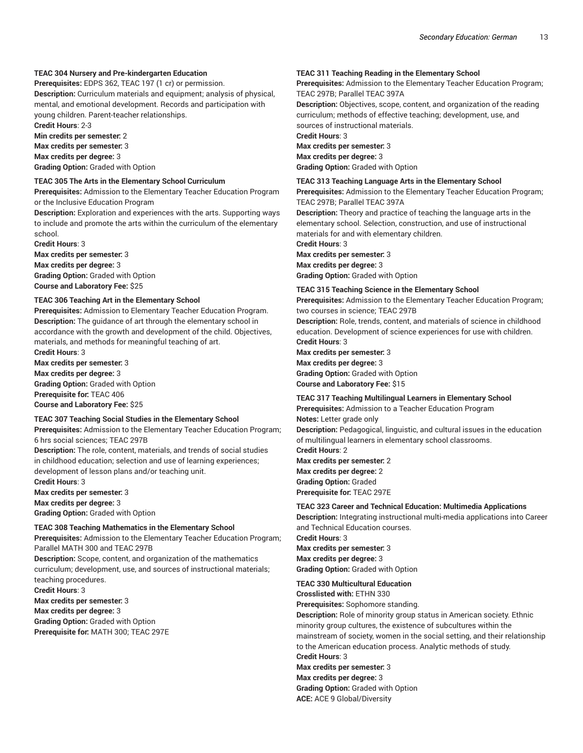#### **TEAC 304 Nursery and Pre-kindergarten Education**

**Prerequisites:** EDPS 362, TEAC 197 (1 cr) or permission.

**Description:** Curriculum materials and equipment; analysis of physical, mental, and emotional development. Records and participation with young children. Parent-teacher relationships.

**Credit Hours**: 2-3

**Min credits per semester:** 2 **Max credits per semester:** 3 **Max credits per degree:** 3

**Grading Option:** Graded with Option

**TEAC 305 The Arts in the Elementary School Curriculum Prerequisites:** Admission to the Elementary Teacher Education Program or the Inclusive Education Program

**Description:** Exploration and experiences with the arts. Supporting ways to include and promote the arts within the curriculum of the elementary school.

**Credit Hours**: 3 **Max credits per semester:** 3 **Max credits per degree:** 3 **Grading Option:** Graded with Option **Course and Laboratory Fee:** \$25

#### **TEAC 306 Teaching Art in the Elementary School**

**Prerequisites:** Admission to Elementary Teacher Education Program. **Description:** The guidance of art through the elementary school in accordance with the growth and development of the child. Objectives, materials, and methods for meaningful teaching of art.

**Credit Hours**: 3 **Max credits per semester:** 3 **Max credits per degree:** 3 **Grading Option:** Graded with Option **Prerequisite for:** TEAC 406

**Course and Laboratory Fee:** \$25

#### **TEAC 307 Teaching Social Studies in the Elementary School**

**Prerequisites:** Admission to the Elementary Teacher Education Program; 6 hrs social sciences; TEAC 297B

**Description:** The role, content, materials, and trends of social studies in childhood education; selection and use of learning experiences; development of lesson plans and/or teaching unit.

**Credit Hours**: 3 **Max credits per semester:** 3

**Max credits per degree:** 3

**Grading Option:** Graded with Option

#### **TEAC 308 Teaching Mathematics in the Elementary School**

**Prerequisites:** Admission to the Elementary Teacher Education Program; Parallel MATH 300 and TEAC 297B

**Description:** Scope, content, and organization of the mathematics curriculum; development, use, and sources of instructional materials; teaching procedures.

**Credit Hours**: 3 **Max credits per semester:** 3 **Max credits per degree:** 3 **Grading Option:** Graded with Option **Prerequisite for:** MATH 300; TEAC 297E

### **TEAC 311 Teaching Reading in the Elementary School**

**Prerequisites:** Admission to the Elementary Teacher Education Program; TEAC 297B; Parallel TEAC 397A

**Description:** Objectives, scope, content, and organization of the reading curriculum; methods of effective teaching; development, use, and sources of instructional materials.

**Credit Hours**: 3

**Max credits per semester:** 3 **Max credits per degree:** 3 **Grading Option:** Graded with Option

**TEAC 313 Teaching Language Arts in the Elementary School**

**Prerequisites:** Admission to the Elementary Teacher Education Program; TEAC 297B; Parallel TEAC 397A

**Description:** Theory and practice of teaching the language arts in the elementary school. Selection, construction, and use of instructional materials for and with elementary children.

**Credit Hours**: 3

**Max credits per semester:** 3 **Max credits per degree:** 3 **Grading Option:** Graded with Option

#### **TEAC 315 Teaching Science in the Elementary School**

**Prerequisites:** Admission to the Elementary Teacher Education Program; two courses in science; TEAC 297B

**Description:** Role, trends, content, and materials of science in childhood education. Development of science experiences for use with children.

**Credit Hours**: 3 **Max credits per semester:** 3 **Max credits per degree:** 3 **Grading Option:** Graded with Option **Course and Laboratory Fee:** \$15

# **TEAC 317 Teaching Multilingual Learners in Elementary School**

**Prerequisites:** Admission to a Teacher Education Program **Notes:** Letter grade only **Description:** Pedagogical, linguistic, and cultural issues in the education of multilingual learners in elementary school classrooms. **Credit Hours**: 2 **Max credits per semester:** 2 **Max credits per degree:** 2 **Grading Option:** Graded

**Prerequisite for:** TEAC 297E

#### **TEAC 323 Career and Technical Education: Multimedia Applications**

**Description:** Integrating instructional multi-media applications into Career and Technical Education courses. **Credit Hours**: 3

**Max credits per semester:** 3 **Max credits per degree:** 3 **Grading Option:** Graded with Option

#### **TEAC 330 Multicultural Education**

**Crosslisted with:** ETHN 330

**Prerequisites:** Sophomore standing. **Description:** Role of minority group status in American society. Ethnic minority group cultures, the existence of subcultures within the mainstream of society, women in the social setting, and their relationship to the American education process. Analytic methods of study. **Credit Hours**: 3

**Max credits per semester:** 3 **Max credits per degree:** 3

**Grading Option:** Graded with Option

**ACE:** ACE 9 Global/Diversity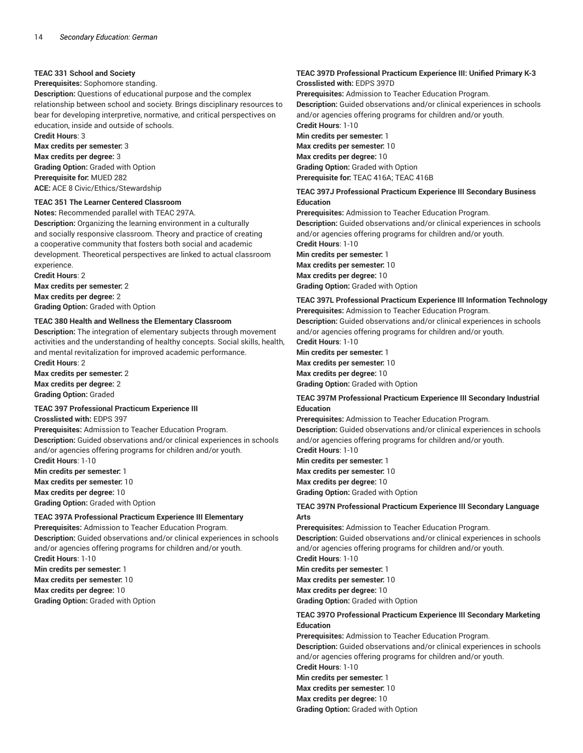### **TEAC 331 School and Society**

#### **Prerequisites:** Sophomore standing.

**Description:** Questions of educational purpose and the complex relationship between school and society. Brings disciplinary resources to bear for developing interpretive, normative, and critical perspectives on education, inside and outside of schools.

**Credit Hours**: 3 **Max credits per semester:** 3

**Max credits per degree:** 3 **Grading Option:** Graded with Option **Prerequisite for:** MUED 282 **ACE:** ACE 8 Civic/Ethics/Stewardship

# **TEAC 351 The Learner Centered Classroom**

**Notes:** Recommended parallel with TEAC 297A.

**Description:** Organizing the learning environment in a culturally and socially responsive classroom. Theory and practice of creating a cooperative community that fosters both social and academic development. Theoretical perspectives are linked to actual classroom experience.

**Credit Hours**: 2

**Max credits per semester:** 2 **Max credits per degree:** 2

**Grading Option:** Graded with Option

#### **TEAC 380 Health and Wellness the Elementary Classroom**

**Description:** The integration of elementary subjects through movement activities and the understanding of healthy concepts. Social skills, health, and mental revitalization for improved academic performance. **Credit Hours**: 2

**Max credits per semester:** 2 **Max credits per degree:** 2 **Grading Option:** Graded

#### **TEAC 397 Professional Practicum Experience III**

**Crosslisted with:** EDPS 397

**Prerequisites:** Admission to Teacher Education Program. **Description:** Guided observations and/or clinical experiences in schools and/or agencies offering programs for children and/or youth.

**Credit Hours**: 1-10 **Min credits per semester:** 1 **Max credits per semester:** 10 **Max credits per degree:** 10 **Grading Option:** Graded with Option

# **TEAC 397A Professional Practicum Experience III Elementary**

**Prerequisites:** Admission to Teacher Education Program. **Description:** Guided observations and/or clinical experiences in schools and/or agencies offering programs for children and/or youth. **Credit Hours**: 1-10 **Min credits per semester:** 1 **Max credits per semester:** 10 **Max credits per degree:** 10

**Grading Option:** Graded with Option

#### **TEAC 397D Professional Practicum Experience III: Unified Primary K-3 Crosslisted with:** EDPS 397D

**Prerequisites:** Admission to Teacher Education Program. **Description:** Guided observations and/or clinical experiences in schools and/or agencies offering programs for children and/or youth. **Credit Hours**: 1-10 **Min credits per semester:** 1 **Max credits per semester:** 10 **Max credits per degree:** 10 **Grading Option:** Graded with Option **Prerequisite for:** TEAC 416A; TEAC 416B **TEAC 397J Professional Practicum Experience III Secondary Business**

**Education Prerequisites:** Admission to Teacher Education Program. **Description:** Guided observations and/or clinical experiences in schools and/or agencies offering programs for children and/or youth. **Credit Hours**: 1-10 **Min credits per semester:** 1 **Max credits per semester:** 10

**Max credits per degree:** 10 **Grading Option:** Graded with Option

# **TEAC 397L Professional Practicum Experience III Information Technology**

**Prerequisites:** Admission to Teacher Education Program. **Description:** Guided observations and/or clinical experiences in schools and/or agencies offering programs for children and/or youth.

**Credit Hours**: 1-10 **Min credits per semester:** 1 **Max credits per semester:** 10 **Max credits per degree:** 10 **Grading Option:** Graded with Option

# **TEAC 397M Professional Practicum Experience III Secondary Industrial Education**

**Prerequisites:** Admission to Teacher Education Program. **Description:** Guided observations and/or clinical experiences in schools and/or agencies offering programs for children and/or youth. **Credit Hours**: 1-10

**Min credits per semester:** 1 **Max credits per semester:** 10 **Max credits per degree:** 10 **Grading Option:** Graded with Option

# **TEAC 397N Professional Practicum Experience III Secondary Language Arts**

**Prerequisites:** Admission to Teacher Education Program.

**Description:** Guided observations and/or clinical experiences in schools and/or agencies offering programs for children and/or youth.

**Credit Hours**: 1-10

**Min credits per semester:** 1 **Max credits per semester:** 10 **Max credits per degree:** 10 **Grading Option:** Graded with Option

#### **TEAC 397O Professional Practicum Experience III Secondary Marketing Education**

**Prerequisites:** Admission to Teacher Education Program. **Description:** Guided observations and/or clinical experiences in schools and/or agencies offering programs for children and/or youth. **Credit Hours**: 1-10 **Min credits per semester:** 1 **Max credits per semester:** 10 **Max credits per degree:** 10 **Grading Option:** Graded with Option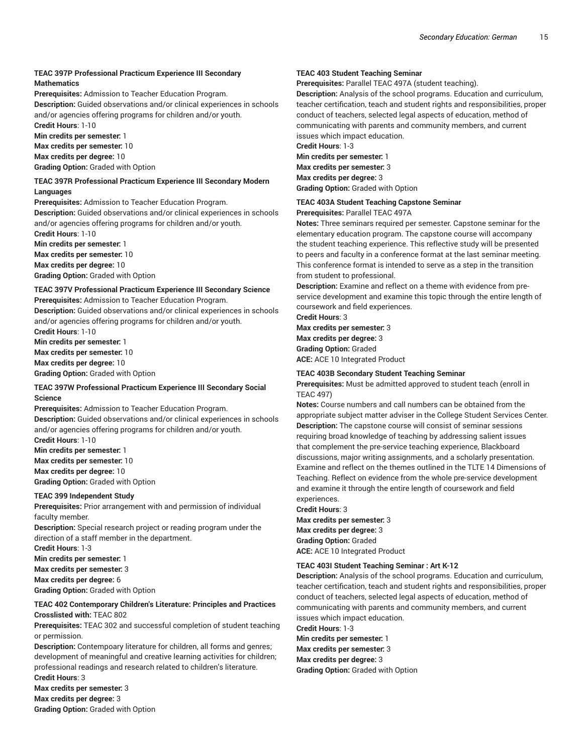# **TEAC 397P Professional Practicum Experience III Secondary Mathematics**

**Prerequisites:** Admission to Teacher Education Program. **Description:** Guided observations and/or clinical experiences in schools and/or agencies offering programs for children and/or youth.

**Credit Hours**: 1-10

**Min credits per semester:** 1

**Max credits per semester:** 10

**Max credits per degree:** 10

**Grading Option:** Graded with Option

#### **TEAC 397R Professional Practicum Experience III Secondary Modern Languages**

**Prerequisites:** Admission to Teacher Education Program. **Description:** Guided observations and/or clinical experiences in schools and/or agencies offering programs for children and/or youth.

**Credit Hours**: 1-10 **Min credits per semester:** 1 **Max credits per semester:** 10 **Max credits per degree:** 10

**Grading Option:** Graded with Option

#### **TEAC 397V Professional Practicum Experience III Secondary Science**

**Prerequisites:** Admission to Teacher Education Program.

**Description:** Guided observations and/or clinical experiences in schools and/or agencies offering programs for children and/or youth. **Credit Hours**: 1-10

**Min credits per semester:** 1 **Max credits per semester:** 10 **Max credits per degree:** 10 **Grading Option:** Graded with Option

#### **TEAC 397W Professional Practicum Experience III Secondary Social Science**

**Prerequisites:** Admission to Teacher Education Program. **Description:** Guided observations and/or clinical experiences in schools and/or agencies offering programs for children and/or youth. **Credit Hours**: 1-10

**Min credits per semester:** 1 **Max credits per semester:** 10 **Max credits per degree:** 10

**Grading Option:** Graded with Option

#### **TEAC 399 Independent Study**

**Prerequisites:** Prior arrangement with and permission of individual faculty member.

**Description:** Special research project or reading program under the direction of a staff member in the department.

**Credit Hours**: 1-3

**Min credits per semester:** 1

**Max credits per semester:** 3

**Max credits per degree:** 6 **Grading Option:** Graded with Option

#### **TEAC 402 Contemporary Children's Literature: Principles and Practices Crosslisted with:** TEAC 802

**Prerequisites:** TEAC 302 and successful completion of student teaching or permission.

**Description:** Contempoary literature for children, all forms and genres; development of meaningful and creative learning activities for children; professional readings and research related to children's literature. **Credit Hours**: 3

**Max credits per semester:** 3 **Max credits per degree:** 3 **Grading Option:** Graded with Option

# **TEAC 403 Student Teaching Seminar**

**Prerequisites:** Parallel TEAC 497A (student teaching).

**Description:** Analysis of the school programs. Education and curriculum, teacher certification, teach and student rights and responsibilities, proper conduct of teachers, selected legal aspects of education, method of communicating with parents and community members, and current issues which impact education.

**Credit Hours**: 1-3 **Min credits per semester:** 1 **Max credits per semester:** 3 **Max credits per degree:** 3 **Grading Option:** Graded with Option

## **TEAC 403A Student Teaching Capstone Seminar Prerequisites:** Parallel TEAC 497A

**Notes:** Three seminars required per semester. Capstone seminar for the elementary education program. The capstone course will accompany the student teaching experience. This reflective study will be presented to peers and faculty in a conference format at the last seminar meeting. This conference format is intended to serve as a step in the transition from student to professional.

**Description:** Examine and reflect on a theme with evidence from preservice development and examine this topic through the entire length of coursework and field experiences.

**Credit Hours**: 3 **Max credits per semester:** 3 **Max credits per degree:** 3 **Grading Option:** Graded **ACE:** ACE 10 Integrated Product

#### **TEAC 403B Secondary Student Teaching Seminar**

**Prerequisites:** Must be admitted approved to student teach (enroll in TEAC 497)

**Notes:** Course numbers and call numbers can be obtained from the appropriate subject matter adviser in the College Student Services Center. **Description:** The capstone course will consist of seminar sessions requiring broad knowledge of teaching by addressing salient issues that complement the pre-service teaching experience, Blackboard discussions, major writing assignments, and a scholarly presentation. Examine and reflect on the themes outlined in the TLTE 14 Dimensions of Teaching. Reflect on evidence from the whole pre-service development and examine it through the entire length of coursework and field experiences.

**Credit Hours**: 3 **Max credits per semester:** 3 **Max credits per degree:** 3 **Grading Option:** Graded **ACE:** ACE 10 Integrated Product

#### **TEAC 403I Student Teaching Seminar : Art K-12**

**Description:** Analysis of the school programs. Education and curriculum, teacher certification, teach and student rights and responsibilities, proper conduct of teachers, selected legal aspects of education, method of communicating with parents and community members, and current issues which impact education.

**Credit Hours**: 1-3

**Min credits per semester:** 1 **Max credits per semester:** 3 **Max credits per degree:** 3 **Grading Option:** Graded with Option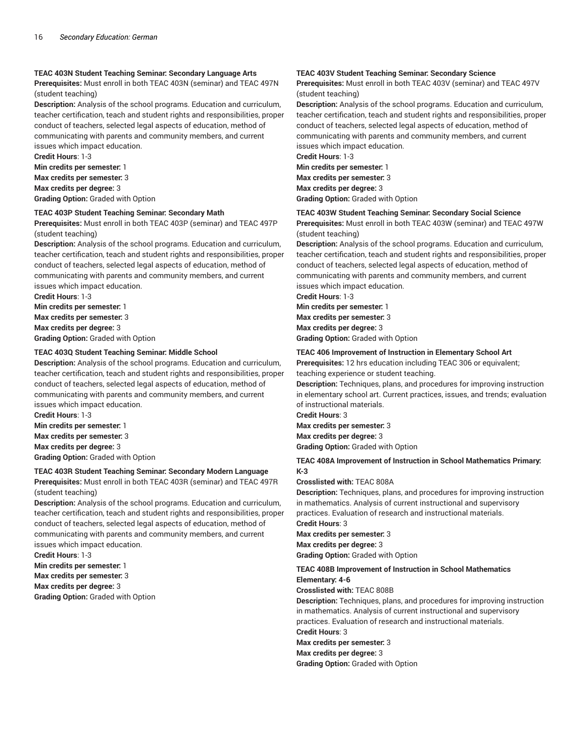#### **TEAC 403N Student Teaching Seminar: Secondary Language Arts**

**Prerequisites:** Must enroll in both TEAC 403N (seminar) and TEAC 497N (student teaching)

**Description:** Analysis of the school programs. Education and curriculum, teacher certification, teach and student rights and responsibilities, proper conduct of teachers, selected legal aspects of education, method of communicating with parents and community members, and current issues which impact education.

**Credit Hours**: 1-3 **Min credits per semester:** 1 **Max credits per semester:** 3 **Max credits per degree:** 3 **Grading Option:** Graded with Option

#### **TEAC 403P Student Teaching Seminar: Secondary Math**

**Prerequisites:** Must enroll in both TEAC 403P (seminar) and TEAC 497P (student teaching)

**Description:** Analysis of the school programs. Education and curriculum, teacher certification, teach and student rights and responsibilities, proper conduct of teachers, selected legal aspects of education, method of communicating with parents and community members, and current issues which impact education.

**Credit Hours**: 1-3 **Min credits per semester:** 1 **Max credits per semester:** 3 **Max credits per degree:** 3 **Grading Option:** Graded with Option

#### **TEAC 403Q Student Teaching Seminar: Middle School**

**Description:** Analysis of the school programs. Education and curriculum, teacher certification, teach and student rights and responsibilities, proper conduct of teachers, selected legal aspects of education, method of communicating with parents and community members, and current issues which impact education.

**Credit Hours**: 1-3 **Min credits per semester:** 1 **Max credits per semester:** 3 **Max credits per degree:** 3 **Grading Option:** Graded with Option

# **TEAC 403R Student Teaching Seminar: Secondary Modern Language**

**Prerequisites:** Must enroll in both TEAC 403R (seminar) and TEAC 497R (student teaching)

**Description:** Analysis of the school programs. Education and curriculum, teacher certification, teach and student rights and responsibilities, proper conduct of teachers, selected legal aspects of education, method of communicating with parents and community members, and current issues which impact education.

**Credit Hours**: 1-3 **Min credits per semester:** 1 **Max credits per semester:** 3 **Max credits per degree:** 3 **Grading Option:** Graded with Option

#### **TEAC 403V Student Teaching Seminar: Secondary Science**

**Prerequisites:** Must enroll in both TEAC 403V (seminar) and TEAC 497V (student teaching)

**Description:** Analysis of the school programs. Education and curriculum, teacher certification, teach and student rights and responsibilities, proper conduct of teachers, selected legal aspects of education, method of communicating with parents and community members, and current issues which impact education.

**Credit Hours**: 1-3 **Min credits per semester:** 1 **Max credits per semester:** 3 **Max credits per degree:** 3 **Grading Option:** Graded with Option

#### **TEAC 403W Student Teaching Seminar: Secondary Social Science**

**Prerequisites:** Must enroll in both TEAC 403W (seminar) and TEAC 497W (student teaching)

**Description:** Analysis of the school programs. Education and curriculum, teacher certification, teach and student rights and responsibilities, proper conduct of teachers, selected legal aspects of education, method of communicating with parents and community members, and current issues which impact education.

**Credit Hours**: 1-3

**Min credits per semester:** 1 **Max credits per semester:** 3 **Max credits per degree:** 3 **Grading Option:** Graded with Option

#### **TEAC 406 Improvement of Instruction in Elementary School Art**

**Prerequisites:** 12 hrs education including TEAC 306 or equivalent; teaching experience or student teaching.

**Description:** Techniques, plans, and procedures for improving instruction in elementary school art. Current practices, issues, and trends; evaluation of instructional materials.

**Credit Hours**: 3

**Max credits per semester:** 3 **Max credits per degree:** 3

**Grading Option:** Graded with Option

#### **TEAC 408A Improvement of Instruction in School Mathematics Primary: K-3**

**Crosslisted with:** TEAC 808A

**Description:** Techniques, plans, and procedures for improving instruction in mathematics. Analysis of current instructional and supervisory practices. Evaluation of research and instructional materials.

**Credit Hours**: 3 **Max credits per semester:** 3 **Max credits per degree:** 3 **Grading Option:** Graded with Option

# **TEAC 408B Improvement of Instruction in School Mathematics Elementary: 4-6**

**Crosslisted with:** TEAC 808B

**Description:** Techniques, plans, and procedures for improving instruction in mathematics. Analysis of current instructional and supervisory practices. Evaluation of research and instructional materials. **Credit Hours**: 3 **Max credits per semester:** 3 **Max credits per degree:** 3

**Grading Option:** Graded with Option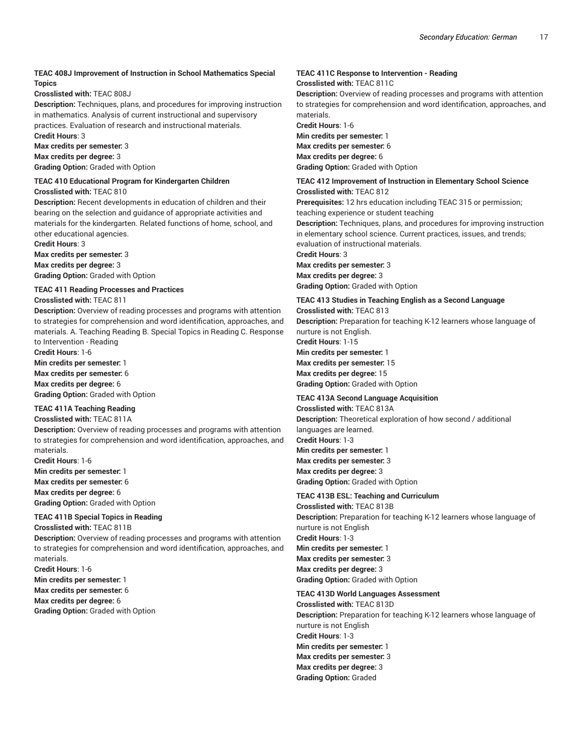## **TEAC 408J Improvement of Instruction in School Mathematics Special Topics**

#### **Crosslisted with:** TEAC 808J

**Description:** Techniques, plans, and procedures for improving instruction in mathematics. Analysis of current instructional and supervisory practices. Evaluation of research and instructional materials. **Credit Hours**: 3

**Max credits per semester:** 3 **Max credits per degree:** 3 **Grading Option:** Graded with Option

#### **TEAC 410 Educational Program for Kindergarten Children**

**Crosslisted with:** TEAC 810

**Description:** Recent developments in education of children and their bearing on the selection and guidance of appropriate activities and materials for the kindergarten. Related functions of home, school, and other educational agencies.

**Credit Hours**: 3 **Max credits per semester:** 3 **Max credits per degree:** 3

**Grading Option:** Graded with Option

# **TEAC 411 Reading Processes and Practices**

**Crosslisted with:** TEAC 811

**Description:** Overview of reading processes and programs with attention to strategies for comprehension and word identification, approaches, and materials. A. Teaching Reading B. Special Topics in Reading C. Response to Intervention - Reading

**Credit Hours**: 1-6 **Min credits per semester:** 1 **Max credits per semester:** 6

**Max credits per degree:** 6

**Grading Option:** Graded with Option

# **TEAC 411A Teaching Reading**

# **Crosslisted with:** TEAC 811A

**Description:** Overview of reading processes and programs with attention to strategies for comprehension and word identification, approaches, and materials.

**Credit Hours**: 1-6 **Min credits per semester:** 1 **Max credits per semester:** 6 **Max credits per degree:** 6 **Grading Option:** Graded with Option

# **TEAC 411B Special Topics in Reading**

**Crosslisted with:** TEAC 811B

**Description:** Overview of reading processes and programs with attention to strategies for comprehension and word identification, approaches, and materials.

**Credit Hours**: 1-6

**Min credits per semester:** 1

**Max credits per semester:** 6 **Max credits per degree:** 6

**Grading Option:** Graded with Option

# **TEAC 411C Response to Intervention - Reading**

**Crosslisted with:** TEAC 811C

**Description:** Overview of reading processes and programs with attention to strategies for comprehension and word identification, approaches, and materials.

**Credit Hours**: 1-6 **Min credits per semester:** 1 **Max credits per semester:** 6 **Max credits per degree:** 6 **Grading Option:** Graded with Option

## **TEAC 412 Improvement of Instruction in Elementary School Science Crosslisted with:** TEAC 812

**Prerequisites:** 12 hrs education including TEAC 315 or permission; teaching experience or student teaching

**Description:** Techniques, plans, and procedures for improving instruction in elementary school science. Current practices, issues, and trends; evaluation of instructional materials.

**Credit Hours**: 3

**Max credits per semester:** 3 **Max credits per degree:** 3 **Grading Option:** Graded with Option

# **TEAC 413 Studies in Teaching English as a Second Language**

**Crosslisted with:** TEAC 813 **Description:** Preparation for teaching K-12 learners whose language of nurture is not English. **Credit Hours**: 1-15

**Min credits per semester:** 1 **Max credits per semester:** 15 **Max credits per degree:** 15 **Grading Option:** Graded with Option

# **TEAC 413A Second Language Acquisition**

**Crosslisted with:** TEAC 813A **Description:** Theoretical exploration of how second / additional languages are learned. **Credit Hours**: 1-3 **Min credits per semester:** 1 **Max credits per semester:** 3 **Max credits per degree:** 3 **Grading Option:** Graded with Option

# **TEAC 413B ESL: Teaching and Curriculum**

**Crosslisted with:** TEAC 813B **Description:** Preparation for teaching K-12 learners whose language of nurture is not English **Credit Hours**: 1-3 **Min credits per semester:** 1 **Max credits per semester:** 3 **Max credits per degree:** 3 **Grading Option:** Graded with Option

**TEAC 413D World Languages Assessment**

**Crosslisted with:** TEAC 813D **Description:** Preparation for teaching K-12 learners whose language of nurture is not English **Credit Hours**: 1-3 **Min credits per semester:** 1 **Max credits per semester:** 3 **Max credits per degree:** 3 **Grading Option:** Graded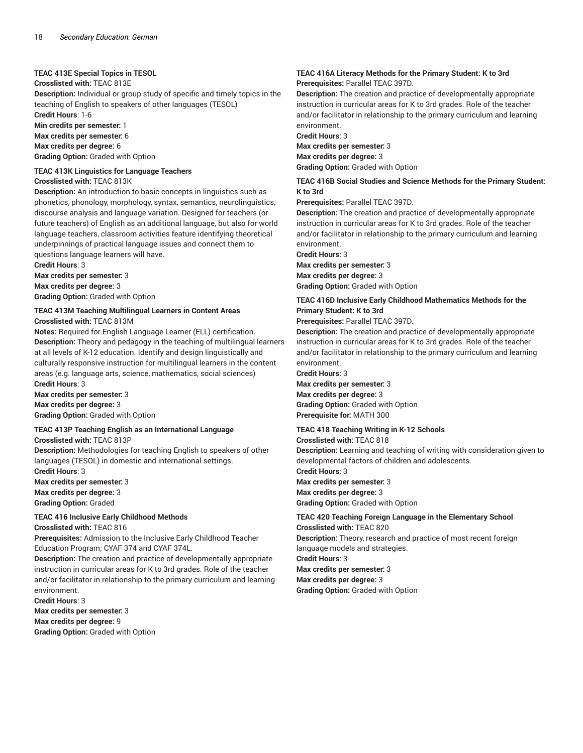## **TEAC 413E Special Topics in TESOL**

**Crosslisted with:** TEAC 813E

**Description:** Individual or group study of specific and timely topics in the teaching of English to speakers of other languages (TESOL)

**Credit Hours**: 1-6

**Min credits per semester:** 1

**Max credits per semester:** 6

**Max credits per degree:** 6

**Grading Option:** Graded with Option

**TEAC 413K Linguistics for Language Teachers Crosslisted with:** TEAC 813K

**Description:** An introduction to basic concepts in linguistics such as phonetics, phonology, morphology, syntax, semantics, neurolinguistics, discourse analysis and language variation. Designed for teachers (or future teachers) of English as an additional language, but also for world language teachers, classroom activities feature identifying theoretical underpinnings of practical language issues and connect them to questions language learners will have.

**Credit Hours**: 3 **Max credits per semester:** 3 **Max credits per degree:** 3 **Grading Option:** Graded with Option

# **TEAC 413M Teaching Multilingual Learners in Content Areas Crosslisted with:** TEAC 813M

**Notes:** Required for English Language Learner (ELL) certification. **Description:** Theory and pedagogy in the teaching of multilingual learners at all levels of K-12 education. Identify and design linguistically and culturally responsive instruction for multilingual learners in the content areas (e.g. language arts, science, mathematics, social sciences) **Credit Hours**: 3

**Max credits per semester:** 3 **Max credits per degree:** 3 **Grading Option:** Graded with Option

# **TEAC 413P Teaching English as an International Language**

**Crosslisted with:** TEAC 813P

**Description:** Methodologies for teaching English to speakers of other languages (TESOL) in domestic and international settings. **Credit Hours**: 3

**Max credits per semester:** 3 **Max credits per degree:** 3 **Grading Option:** Graded

# **TEAC 416 Inclusive Early Childhood Methods**

**Crosslisted with:** TEAC 816

**Prerequisites:** Admission to the Inclusive Early Childhood Teacher Education Program; CYAF 374 and CYAF 374L.

**Description:** The creation and practice of developmentally appropriate instruction in curricular areas for K to 3rd grades. Role of the teacher and/or facilitator in relationship to the primary curriculum and learning environment.

**Credit Hours**: 3

**Max credits per semester:** 3

**Max credits per degree:** 9

**Grading Option:** Graded with Option

#### **TEAC 416A Literacy Methods for the Primary Student: K to 3rd Prerequisites:** Parallel TEAC 397D.

**Description:** The creation and practice of developmentally appropriate instruction in curricular areas for K to 3rd grades. Role of the teacher and/or facilitator in relationship to the primary curriculum and learning environment.

**Credit Hours**: 3 **Max credits per semester:** 3

**Max credits per degree:** 3 **Grading Option:** Graded with Option

## **TEAC 416B Social Studies and Science Methods for the Primary Student: K to 3rd**

**Prerequisites:** Parallel TEAC 397D.

**Description:** The creation and practice of developmentally appropriate instruction in curricular areas for K to 3rd grades. Role of the teacher and/or facilitator in relationship to the primary curriculum and learning environment.

**Credit Hours**: 3

**Max credits per semester:** 3 **Max credits per degree:** 3 **Grading Option:** Graded with Option

# **TEAC 416D Inclusive Early Childhood Mathematics Methods for the Primary Student: K to 3rd**

**Prerequisites:** Parallel TEAC 397D.

**Description:** The creation and practice of developmentally appropriate instruction in curricular areas for K to 3rd grades. Role of the teacher and/or facilitator in relationship to the primary curriculum and learning environment.

**Credit Hours**: 3

**Max credits per semester:** 3 **Max credits per degree:** 3 **Grading Option:** Graded with Option **Prerequisite for:** MATH 300

# **TEAC 418 Teaching Writing in K-12 Schools**

**Crosslisted with:** TEAC 818

**Description:** Learning and teaching of writing with consideration given to developmental factors of children and adolescents.

**Credit Hours**: 3 **Max credits per semester:** 3 **Max credits per degree:** 3

**Grading Option:** Graded with Option

#### **TEAC 420 Teaching Foreign Language in the Elementary School Crosslisted with:** TEAC 820

**Description:** Theory, research and practice of most recent foreign language models and strategies.

**Credit Hours**: 3

**Max credits per semester:** 3

**Max credits per degree:** 3

**Grading Option:** Graded with Option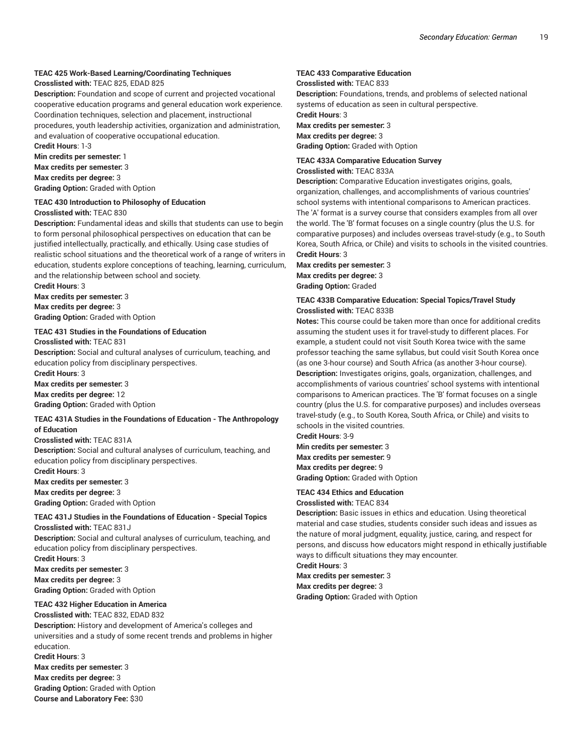# **TEAC 425 Work-Based Learning/Coordinating Techniques**

#### **Crosslisted with:** TEAC 825, EDAD 825

**Description:** Foundation and scope of current and projected vocational cooperative education programs and general education work experience. Coordination techniques, selection and placement, instructional procedures, youth leadership activities, organization and administration, and evaluation of cooperative occupational education.

**Credit Hours**: 1-3 **Min credits per semester:** 1

**Max credits per semester:** 3

**Max credits per degree:** 3

**Grading Option:** Graded with Option

#### **TEAC 430 Introduction to Philosophy of Education Crosslisted with:** TEAC 830

**Description:** Fundamental ideas and skills that students can use to begin to form personal philosophical perspectives on education that can be justified intellectually, practically, and ethically. Using case studies of realistic school situations and the theoretical work of a range of writers in education, students explore conceptions of teaching, learning, curriculum, and the relationship between school and society.

**Credit Hours**: 3 **Max credits per semester:** 3 **Max credits per degree:** 3

**Grading Option:** Graded with Option

# **TEAC 431 Studies in the Foundations of Education**

**Crosslisted with:** TEAC 831

**Description:** Social and cultural analyses of curriculum, teaching, and education policy from disciplinary perspectives.

**Credit Hours**: 3

**Max credits per semester:** 3 **Max credits per degree:** 12

**Grading Option:** Graded with Option

#### **TEAC 431A Studies in the Foundations of Education - The Anthropology of Education**

#### **Crosslisted with:** TEAC 831A

**Description:** Social and cultural analyses of curriculum, teaching, and education policy from disciplinary perspectives.

**Credit Hours**: 3

**Max credits per semester:** 3

**Max credits per degree:** 3

**Grading Option:** Graded with Option

# **TEAC 431J Studies in the Foundations of Education - Special Topics Crosslisted with:** TEAC 831J

**Description:** Social and cultural analyses of curriculum, teaching, and education policy from disciplinary perspectives. **Credit Hours**: 3

**Max credits per semester:** 3 **Max credits per degree:** 3

**Grading Option:** Graded with Option

# **TEAC 432 Higher Education in America**

**Crosslisted with:** TEAC 832, EDAD 832 **Description:** History and development of America's colleges and universities and a study of some recent trends and problems in higher education. **Credit Hours**: 3 **Max credits per semester:** 3

**Max credits per degree:** 3 **Grading Option:** Graded with Option **Course and Laboratory Fee:** \$30

# **TEAC 433 Comparative Education**

**Crosslisted with:** TEAC 833

**Description:** Foundations, trends, and problems of selected national systems of education as seen in cultural perspective.

**Credit Hours**: 3 **Max credits per semester:** 3 **Max credits per degree:** 3 **Grading Option:** Graded with Option

#### **TEAC 433A Comparative Education Survey**

**Crosslisted with:** TEAC 833A

**Description:** Comparative Education investigates origins, goals, organization, challenges, and accomplishments of various countries' school systems with intentional comparisons to American practices. The 'A' format is a survey course that considers examples from all over the world. The 'B' format focuses on a single country (plus the U.S. for comparative purposes) and includes overseas travel-study (e.g., to South Korea, South Africa, or Chile) and visits to schools in the visited countries. **Credit Hours**: 3

**Max credits per semester:** 3 **Max credits per degree:** 3 **Grading Option:** Graded

#### **TEAC 433B Comparative Education: Special Topics/Travel Study Crosslisted with:** TEAC 833B

**Notes:** This course could be taken more than once for additional credits assuming the student uses it for travel-study to different places. For example, a student could not visit South Korea twice with the same professor teaching the same syllabus, but could visit South Korea once (as one 3-hour course) and South Africa (as another 3-hour course). **Description:** Investigates origins, goals, organization, challenges, and accomplishments of various countries' school systems with intentional comparisons to American practices. The 'B' format focuses on a single country (plus the U.S. for comparative purposes) and includes overseas travel-study (e.g., to South Korea, South Africa, or Chile) and visits to schools in the visited countries.

**Credit Hours**: 3-9

**Min credits per semester:** 3 **Max credits per semester:** 9 **Max credits per degree:** 9 **Grading Option:** Graded with Option

#### **TEAC 434 Ethics and Education**

**Crosslisted with:** TEAC 834

**Description:** Basic issues in ethics and education. Using theoretical material and case studies, students consider such ideas and issues as the nature of moral judgment, equality, justice, caring, and respect for persons, and discuss how educators might respond in ethically justifiable ways to difficult situations they may encounter.

**Credit Hours**: 3

**Max credits per semester:** 3 **Max credits per degree:** 3 **Grading Option:** Graded with Option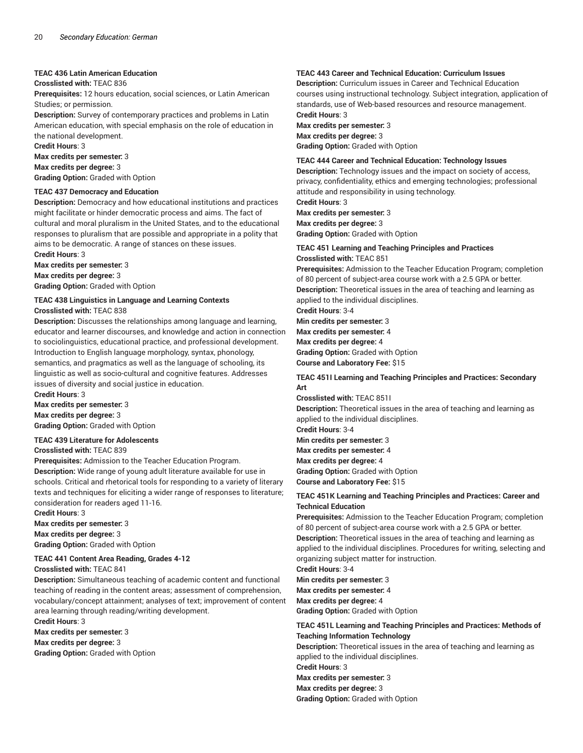#### **TEAC 436 Latin American Education**

#### **Crosslisted with:** TEAC 836

**Prerequisites:** 12 hours education, social sciences, or Latin American Studies; or permission.

**Description:** Survey of contemporary practices and problems in Latin American education, with special emphasis on the role of education in the national development.

**Credit Hours**: 3 **Max credits per semester:** 3 **Max credits per degree:** 3 **Grading Option:** Graded with Option

#### **TEAC 437 Democracy and Education**

**Description:** Democracy and how educational institutions and practices might facilitate or hinder democratic process and aims. The fact of cultural and moral pluralism in the United States, and to the educational responses to pluralism that are possible and appropriate in a polity that aims to be democratic. A range of stances on these issues.

**Credit Hours**: 3 **Max credits per semester:** 3 **Max credits per degree:** 3 **Grading Option:** Graded with Option

# **TEAC 438 Linguistics in Language and Learning Contexts Crosslisted with:** TEAC 838

**Description:** Discusses the relationships among language and learning, educator and learner discourses, and knowledge and action in connection to sociolinguistics, educational practice, and professional development. Introduction to English language morphology, syntax, phonology, semantics, and pragmatics as well as the language of schooling, its linguistic as well as socio-cultural and cognitive features. Addresses issues of diversity and social justice in education. **Credit Hours**: 3

**Max credits per semester:** 3 **Max credits per degree:** 3 **Grading Option:** Graded with Option

#### **TEAC 439 Literature for Adolescents**

#### **Crosslisted with:** TEAC 839

**Prerequisites:** Admission to the Teacher Education Program. **Description:** Wide range of young adult literature available for use in schools. Critical and rhetorical tools for responding to a variety of literary texts and techniques for eliciting a wider range of responses to literature; consideration for readers aged 11-16.

**Credit Hours**: 3

**Max credits per semester:** 3

**Max credits per degree:** 3 **Grading Option:** Graded with Option

# **TEAC 441 Content Area Reading, Grades 4-12**

**Crosslisted with:** TEAC 841

**Description:** Simultaneous teaching of academic content and functional teaching of reading in the content areas; assessment of comprehension, vocabulary/concept attainment; analyses of text; improvement of content area learning through reading/writing development.

**Credit Hours**: 3

**Max credits per semester:** 3

**Max credits per degree:** 3

**Grading Option:** Graded with Option

# **TEAC 443 Career and Technical Education: Curriculum Issues**

**Description:** Curriculum issues in Career and Technical Education courses using instructional technology. Subject integration, application of standards, use of Web-based resources and resource management. **Credit Hours**: 3

**Max credits per semester:** 3 **Max credits per degree:** 3 **Grading Option:** Graded with Option

#### **TEAC 444 Career and Technical Education: Technology Issues**

**Description:** Technology issues and the impact on society of access, privacy, confidentiality, ethics and emerging technologies; professional attitude and responsibility in using technology.

**Credit Hours**: 3 **Max credits per semester:** 3 **Max credits per degree:** 3 **Grading Option:** Graded with Option

#### **TEAC 451 Learning and Teaching Principles and Practices Crosslisted with:** TEAC 851

**Prerequisites:** Admission to the Teacher Education Program; completion of 80 percent of subject-area course work with a 2.5 GPA or better. **Description:** Theoretical issues in the area of teaching and learning as applied to the individual disciplines.

**Credit Hours**: 3-4

**Min credits per semester:** 3 **Max credits per semester:** 4 **Max credits per degree:** 4 **Grading Option:** Graded with Option **Course and Laboratory Fee:** \$15

#### **TEAC 451I Learning and Teaching Principles and Practices: Secondary Art**

**Crosslisted with:** TEAC 851I **Description:** Theoretical issues in the area of teaching and learning as applied to the individual disciplines. **Credit Hours**: 3-4 **Min credits per semester:** 3 **Max credits per semester:** 4 **Max credits per degree:** 4 **Grading Option:** Graded with Option

**Course and Laboratory Fee:** \$15

#### **TEAC 451K Learning and Teaching Principles and Practices: Career and Technical Education**

**Prerequisites:** Admission to the Teacher Education Program; completion of 80 percent of subject-area course work with a 2.5 GPA or better. **Description:** Theoretical issues in the area of teaching and learning as applied to the individual disciplines. Procedures for writing, selecting and organizing subject matter for instruction.

**Credit Hours**: 3-4

**Min credits per semester:** 3 **Max credits per semester:** 4 **Max credits per degree:** 4 **Grading Option:** Graded with Option

#### **TEAC 451L Learning and Teaching Principles and Practices: Methods of Teaching Information Technology**

**Description:** Theoretical issues in the area of teaching and learning as applied to the individual disciplines. **Credit Hours**: 3 **Max credits per semester:** 3

**Max credits per degree:** 3

**Grading Option:** Graded with Option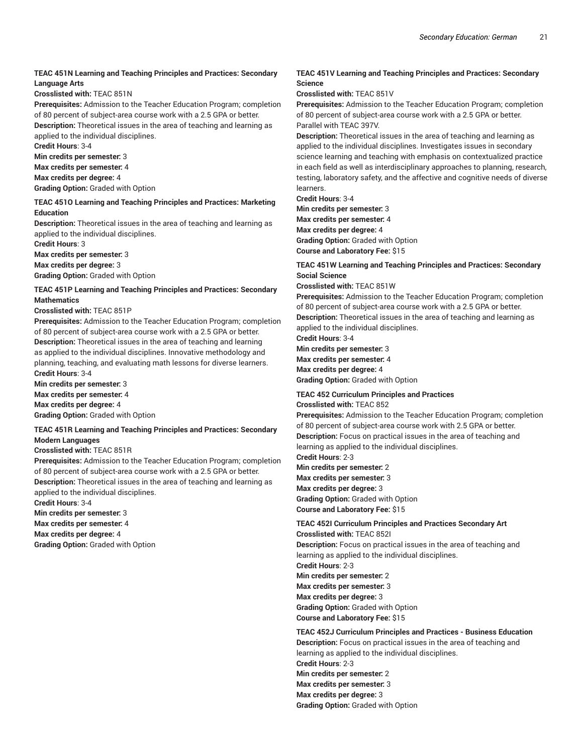#### **TEAC 451N Learning and Teaching Principles and Practices: Secondary Language Arts**

**Crosslisted with:** TEAC 851N

**Prerequisites:** Admission to the Teacher Education Program; completion of 80 percent of subject-area course work with a 2.5 GPA or better. **Description:** Theoretical issues in the area of teaching and learning as applied to the individual disciplines.

**Credit Hours**: 3-4

**Min credits per semester:** 3

**Max credits per semester:** 4

**Max credits per degree:** 4

**Grading Option:** Graded with Option

#### **TEAC 451O Learning and Teaching Principles and Practices: Marketing Education**

**Description:** Theoretical issues in the area of teaching and learning as applied to the individual disciplines.

**Credit Hours**: 3

**Max credits per semester:** 3

**Max credits per degree:** 3

**Grading Option:** Graded with Option

**TEAC 451P Learning and Teaching Principles and Practices: Secondary Mathematics**

#### **Crosslisted with:** TEAC 851P

**Prerequisites:** Admission to the Teacher Education Program; completion of 80 percent of subject-area course work with a 2.5 GPA or better. **Description:** Theoretical issues in the area of teaching and learning as applied to the individual disciplines. Innovative methodology and planning, teaching, and evaluating math lessons for diverse learners. **Credit Hours**: 3-4

**Min credits per semester:** 3 **Max credits per semester:** 4 **Max credits per degree:** 4

**Grading Option:** Graded with Option

#### **TEAC 451R Learning and Teaching Principles and Practices: Secondary Modern Languages**

#### **Crosslisted with:** TEAC 851R

**Prerequisites:** Admission to the Teacher Education Program; completion of 80 percent of subject-area course work with a 2.5 GPA or better. **Description:** Theoretical issues in the area of teaching and learning as applied to the individual disciplines.

**Credit Hours**: 3-4

**Min credits per semester:** 3 **Max credits per semester:** 4

**Max credits per degree:** 4

**Grading Option:** Graded with Option

# **TEAC 451V Learning and Teaching Principles and Practices: Secondary Science**

**Crosslisted with:** TEAC 851V

**Prerequisites:** Admission to the Teacher Education Program; completion of 80 percent of subject-area course work with a 2.5 GPA or better. Parallel with TEAC 397V.

**Description:** Theoretical issues in the area of teaching and learning as applied to the individual disciplines. Investigates issues in secondary science learning and teaching with emphasis on contextualized practice in each field as well as interdisciplinary approaches to planning, research, testing, laboratory safety, and the affective and cognitive needs of diverse learners.

**Credit Hours**: 3-4

**Min credits per semester:** 3 **Max credits per semester:** 4 **Max credits per degree:** 4 **Grading Option:** Graded with Option **Course and Laboratory Fee:** \$15

#### **TEAC 451W Learning and Teaching Principles and Practices: Secondary Social Science**

**Crosslisted with:** TEAC 851W

**Prerequisites:** Admission to the Teacher Education Program; completion of 80 percent of subject-area course work with a 2.5 GPA or better. **Description:** Theoretical issues in the area of teaching and learning as

applied to the individual disciplines.

**Credit Hours**: 3-4 **Min credits per semester:** 3

**Max credits per semester:** 4 **Max credits per degree:** 4

**Grading Option:** Graded with Option

# **TEAC 452 Curriculum Principles and Practices**

**Crosslisted with:** TEAC 852

**Prerequisites:** Admission to the Teacher Education Program; completion of 80 percent of subject-area course work with 2.5 GPA or better. **Description:** Focus on practical issues in the area of teaching and learning as applied to the individual disciplines.

**Credit Hours**: 2-3

**Min credits per semester:** 2 **Max credits per semester:** 3 **Max credits per degree:** 3 **Grading Option:** Graded with Option **Course and Laboratory Fee:** \$15

# **TEAC 452I Curriculum Principles and Practices Secondary Art Crosslisted with:** TEAC 852I

**Description:** Focus on practical issues in the area of teaching and learning as applied to the individual disciplines. **Credit Hours**: 2-3 **Min credits per semester:** 2 **Max credits per semester:** 3 **Max credits per degree:** 3 **Grading Option:** Graded with Option **Course and Laboratory Fee:** \$15

**TEAC 452J Curriculum Principles and Practices - Business Education Description:** Focus on practical issues in the area of teaching and learning as applied to the individual disciplines. **Credit Hours**: 2-3 **Min credits per semester:** 2 **Max credits per semester:** 3 **Max credits per degree:** 3 **Grading Option:** Graded with Option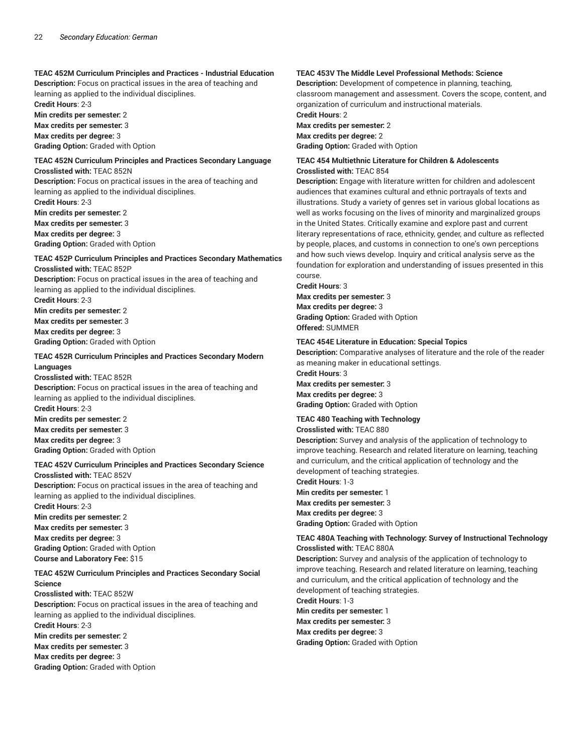#### **TEAC 452M Curriculum Principles and Practices - Industrial Education**

**Description:** Focus on practical issues in the area of teaching and learning as applied to the individual disciplines. **Credit Hours**: 2-3

**Min credits per semester:** 2 **Max credits per semester:** 3 **Max credits per degree:** 3 **Grading Option:** Graded with Option

# **TEAC 452N Curriculum Principles and Practices Secondary Language Crosslisted with:** TEAC 852N

**Description:** Focus on practical issues in the area of teaching and learning as applied to the individual disciplines.

**Credit Hours**: 2-3 **Min credits per semester:** 2 **Max credits per semester:** 3 **Max credits per degree:** 3 **Grading Option:** Graded with Option

# **TEAC 452P Curriculum Principles and Practices Secondary Mathematics Crosslisted with:** TEAC 852P

**Description:** Focus on practical issues in the area of teaching and learning as applied to the individual disciplines. **Credit Hours**: 2-3 **Min credits per semester:** 2 **Max credits per semester:** 3 **Max credits per degree:** 3

**Grading Option:** Graded with Option

# **TEAC 452R Curriculum Principles and Practices Secondary Modern Languages**

**Crosslisted with:** TEAC 852R **Description:** Focus on practical issues in the area of teaching and learning as applied to the individual disciplines. **Credit Hours**: 2-3 **Min credits per semester:** 2 **Max credits per semester:** 3 **Max credits per degree:** 3 **Grading Option:** Graded with Option

# **TEAC 452V Curriculum Principles and Practices Secondary Science Crosslisted with:** TEAC 852V

**Description:** Focus on practical issues in the area of teaching and learning as applied to the individual disciplines. **Credit Hours**: 2-3 **Min credits per semester:** 2

**Max credits per semester:** 3 **Max credits per degree:** 3 **Grading Option:** Graded with Option **Course and Laboratory Fee:** \$15

#### **TEAC 452W Curriculum Principles and Practices Secondary Social Science**

**Crosslisted with:** TEAC 852W

**Description:** Focus on practical issues in the area of teaching and learning as applied to the individual disciplines. **Credit Hours**: 2-3 **Min credits per semester:** 2 **Max credits per semester:** 3 **Max credits per degree:** 3 **Grading Option:** Graded with Option

# **TEAC 453V The Middle Level Professional Methods: Science**

**Description:** Development of competence in planning, teaching, classroom management and assessment. Covers the scope, content, and organization of curriculum and instructional materials.

**Credit Hours**: 2 **Max credits per semester:** 2 **Max credits per degree:** 2 **Grading Option:** Graded with Option

#### **TEAC 454 Multiethnic Literature for Children & Adolescents Crosslisted with:** TEAC 854

**Description:** Engage with literature written for children and adolescent audiences that examines cultural and ethnic portrayals of texts and illustrations. Study a variety of genres set in various global locations as well as works focusing on the lives of minority and marginalized groups in the United States. Critically examine and explore past and current literary representations of race, ethnicity, gender, and culture as reflected by people, places, and customs in connection to one's own perceptions and how such views develop. Inquiry and critical analysis serve as the foundation for exploration and understanding of issues presented in this course.

**Credit Hours**: 3

**Max credits per semester:** 3 **Max credits per degree:** 3 **Grading Option:** Graded with Option **Offered:** SUMMER

#### **TEAC 454E Literature in Education: Special Topics**

**Description:** Comparative analyses of literature and the role of the reader as meaning maker in educational settings.

**Credit Hours**: 3 **Max credits per semester:** 3 **Max credits per degree:** 3 **Grading Option:** Graded with Option

# **TEAC 480 Teaching with Technology**

**Crosslisted with:** TEAC 880

**Description:** Survey and analysis of the application of technology to improve teaching. Research and related literature on learning, teaching and curriculum, and the critical application of technology and the development of teaching strategies.

**Credit Hours**: 1-3 **Min credits per semester:** 1 **Max credits per semester:** 3 **Max credits per degree:** 3 **Grading Option:** Graded with Option

#### **TEAC 480A Teaching with Technology: Survey of Instructional Technology Crosslisted with:** TEAC 880A

**Description:** Survey and analysis of the application of technology to improve teaching. Research and related literature on learning, teaching and curriculum, and the critical application of technology and the development of teaching strategies.

**Credit Hours**: 1-3 **Min credits per semester:** 1 **Max credits per semester:** 3 **Max credits per degree:** 3 **Grading Option:** Graded with Option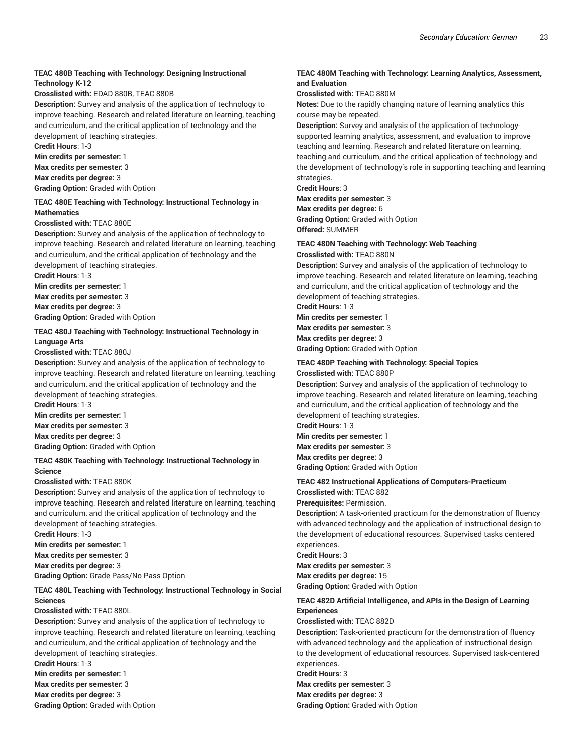# **TEAC 480B Teaching with Technology: Designing Instructional Technology K-12**

#### **Crosslisted with:** EDAD 880B, TEAC 880B

**Description:** Survey and analysis of the application of technology to improve teaching. Research and related literature on learning, teaching and curriculum, and the critical application of technology and the development of teaching strategies.

**Credit Hours**: 1-3

**Min credits per semester:** 1

**Max credits per semester:** 3

**Max credits per degree:** 3

**Grading Option:** Graded with Option

#### **TEAC 480E Teaching with Technology: Instructional Technology in Mathematics**

#### **Crosslisted with:** TEAC 880E

**Description:** Survey and analysis of the application of technology to improve teaching. Research and related literature on learning, teaching and curriculum, and the critical application of technology and the development of teaching strategies.

**Credit Hours**: 1-3

**Min credits per semester:** 1

**Max credits per semester:** 3 **Max credits per degree:** 3

**Grading Option:** Graded with Option

#### **TEAC 480J Teaching with Technology: Instructional Technology in Language Arts**

#### **Crosslisted with:** TEAC 880J

**Description:** Survey and analysis of the application of technology to improve teaching. Research and related literature on learning, teaching and curriculum, and the critical application of technology and the development of teaching strategies.

**Credit Hours**: 1-3 **Min credits per semester:** 1 **Max credits per semester:** 3 **Max credits per degree:** 3 **Grading Option:** Graded with Option

### **TEAC 480K Teaching with Technology: Instructional Technology in Science**

#### **Crosslisted with:** TEAC 880K

**Description:** Survey and analysis of the application of technology to improve teaching. Research and related literature on learning, teaching and curriculum, and the critical application of technology and the development of teaching strategies.

**Credit Hours**: 1-3 **Min credits per semester:** 1 **Max credits per semester:** 3 **Max credits per degree:** 3

**Grading Option:** Grade Pass/No Pass Option

### **TEAC 480L Teaching with Technology: Instructional Technology in Social Sciences**

#### **Crosslisted with:** TEAC 880L

**Description:** Survey and analysis of the application of technology to improve teaching. Research and related literature on learning, teaching and curriculum, and the critical application of technology and the development of teaching strategies.

**Credit Hours**: 1-3

**Min credits per semester:** 1

**Max credits per semester:** 3 **Max credits per degree:** 3

**Grading Option:** Graded with Option

## **TEAC 480M Teaching with Technology: Learning Analytics, Assessment, and Evaluation**

**Crosslisted with:** TEAC 880M

**Notes:** Due to the rapidly changing nature of learning analytics this course may be repeated.

**Description:** Survey and analysis of the application of technologysupported learning analytics, assessment, and evaluation to improve teaching and learning. Research and related literature on learning, teaching and curriculum, and the critical application of technology and the development of technology's role in supporting teaching and learning strategies.

**Credit Hours**: 3

**Max credits per semester:** 3 **Max credits per degree:** 6

**Grading Option:** Graded with Option **Offered:** SUMMER

### **TEAC 480N Teaching with Technology: Web Teaching Crosslisted with:** TEAC 880N

**Description:** Survey and analysis of the application of technology to improve teaching. Research and related literature on learning, teaching and curriculum, and the critical application of technology and the development of teaching strategies.

**Credit Hours**: 1-3

**Min credits per semester:** 1 **Max credits per semester:** 3 **Max credits per degree:** 3 **Grading Option:** Graded with Option

#### **TEAC 480P Teaching with Technology: Special Topics Crosslisted with:** TEAC 880P

**Description:** Survey and analysis of the application of technology to improve teaching. Research and related literature on learning, teaching and curriculum, and the critical application of technology and the development of teaching strategies.

**Credit Hours**: 1-3 **Min credits per semester:** 1 **Max credits per semester:** 3 **Max credits per degree:** 3 **Grading Option:** Graded with Option

# **TEAC 482 Instructional Applications of Computers-Practicum**

**Crosslisted with:** TEAC 882 **Prerequisites:** Permission.

**Description:** A task-oriented practicum for the demonstration of fluency with advanced technology and the application of instructional design to the development of educational resources. Supervised tasks centered experiences.

**Credit Hours**: 3

**Max credits per semester:** 3

**Max credits per degree:** 15

**Grading Option:** Graded with Option

### **TEAC 482D Artificial Intelligence, and APIs in the Design of Learning Experiences**

**Crosslisted with:** TEAC 882D

**Description:** Task-oriented practicum for the demonstration of fluency with advanced technology and the application of instructional design to the development of educational resources. Supervised task-centered experiences.

**Credit Hours**: 3

**Max credits per semester:** 3 **Max credits per degree:** 3 **Grading Option:** Graded with Option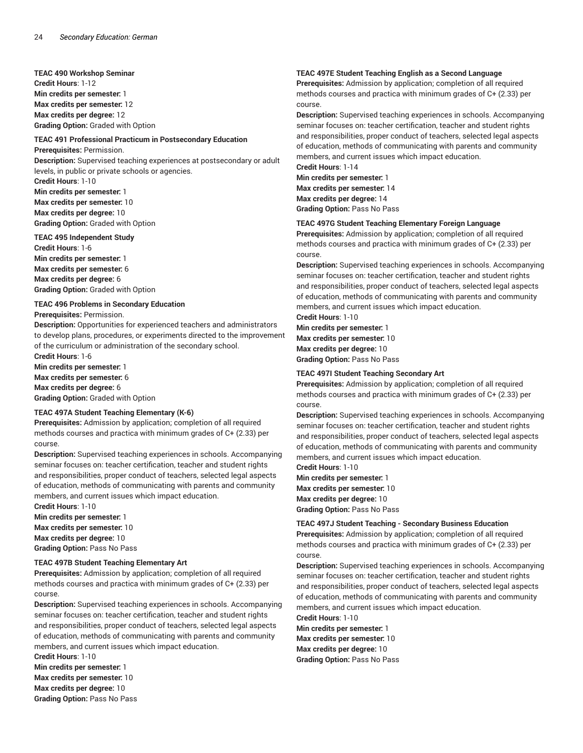**TEAC 490 Workshop Seminar Credit Hours**: 1-12 **Min credits per semester:** 1 **Max credits per semester:** 12 **Max credits per degree:** 12 **Grading Option:** Graded with Option

#### **TEAC 491 Professional Practicum in Postsecondary Education Prerequisites:** Permission.

**Description:** Supervised teaching experiences at postsecondary or adult levels, in public or private schools or agencies. **Credit Hours**: 1-10

**Min credits per semester:** 1 **Max credits per semester:** 10 **Max credits per degree:** 10 **Grading Option:** Graded with Option

#### **TEAC 495 Independent Study**

**Credit Hours**: 1-6 **Min credits per semester:** 1 **Max credits per semester:** 6 **Max credits per degree:** 6 **Grading Option:** Graded with Option

#### **TEAC 496 Problems in Secondary Education**

**Prerequisites:** Permission.

**Description:** Opportunities for experienced teachers and administrators to develop plans, procedures, or experiments directed to the improvement of the curriculum or administration of the secondary school.

**Credit Hours**: 1-6 **Min credits per semester:** 1 **Max credits per semester:** 6 **Max credits per degree:** 6 **Grading Option:** Graded with Option

#### **TEAC 497A Student Teaching Elementary (K-6)**

**Prerequisites:** Admission by application; completion of all required methods courses and practica with minimum grades of C+ (2.33) per course.

**Description:** Supervised teaching experiences in schools. Accompanying seminar focuses on: teacher certification, teacher and student rights and responsibilities, proper conduct of teachers, selected legal aspects of education, methods of communicating with parents and community members, and current issues which impact education.

**Credit Hours**: 1-10 **Min credits per semester:** 1 **Max credits per semester:** 10 **Max credits per degree:** 10 **Grading Option:** Pass No Pass

#### **TEAC 497B Student Teaching Elementary Art**

**Prerequisites:** Admission by application; completion of all required methods courses and practica with minimum grades of C+ (2.33) per course.

**Description:** Supervised teaching experiences in schools. Accompanying seminar focuses on: teacher certification, teacher and student rights and responsibilities, proper conduct of teachers, selected legal aspects of education, methods of communicating with parents and community members, and current issues which impact education.

**Credit Hours**: 1-10 **Min credits per semester:** 1 **Max credits per semester:** 10 **Max credits per degree:** 10 **Grading Option:** Pass No Pass

### **TEAC 497E Student Teaching English as a Second Language**

**Prerequisites:** Admission by application; completion of all required methods courses and practica with minimum grades of C+ (2.33) per course.

**Description:** Supervised teaching experiences in schools. Accompanying seminar focuses on: teacher certification, teacher and student rights and responsibilities, proper conduct of teachers, selected legal aspects of education, methods of communicating with parents and community members, and current issues which impact education.

**Credit Hours**: 1-14 **Min credits per semester:** 1 **Max credits per semester:** 14 **Max credits per degree:** 14 **Grading Option:** Pass No Pass

#### **TEAC 497G Student Teaching Elementary Foreign Language**

**Prerequisites:** Admission by application; completion of all required methods courses and practica with minimum grades of C+ (2.33) per course.

**Description:** Supervised teaching experiences in schools. Accompanying seminar focuses on: teacher certification, teacher and student rights and responsibilities, proper conduct of teachers, selected legal aspects of education, methods of communicating with parents and community members, and current issues which impact education.

**Credit Hours**: 1-10 **Min credits per semester:** 1 **Max credits per semester:** 10 **Max credits per degree:** 10 **Grading Option:** Pass No Pass

#### **TEAC 497I Student Teaching Secondary Art**

**Prerequisites:** Admission by application; completion of all required methods courses and practica with minimum grades of C+ (2.33) per course.

**Description:** Supervised teaching experiences in schools. Accompanying seminar focuses on: teacher certification, teacher and student rights and responsibilities, proper conduct of teachers, selected legal aspects of education, methods of communicating with parents and community members, and current issues which impact education.

**Credit Hours**: 1-10 **Min credits per semester:** 1

**Max credits per semester:** 10 **Max credits per degree:** 10 **Grading Option:** Pass No Pass

#### **TEAC 497J Student Teaching - Secondary Business Education**

**Prerequisites:** Admission by application; completion of all required methods courses and practica with minimum grades of C+ (2.33) per course.

**Description:** Supervised teaching experiences in schools. Accompanying seminar focuses on: teacher certification, teacher and student rights and responsibilities, proper conduct of teachers, selected legal aspects of education, methods of communicating with parents and community members, and current issues which impact education.

**Credit Hours**: 1-10 **Min credits per semester:** 1 **Max credits per semester:** 10 **Max credits per degree:** 10 **Grading Option:** Pass No Pass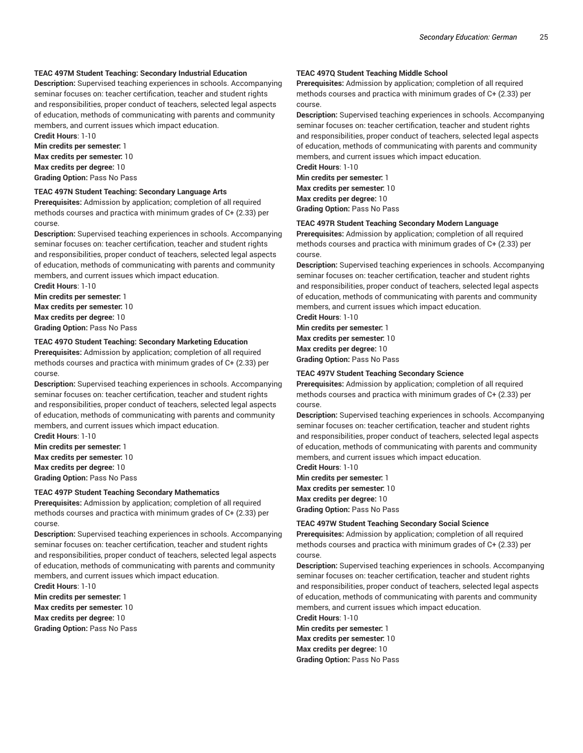#### **TEAC 497M Student Teaching: Secondary Industrial Education**

**Description:** Supervised teaching experiences in schools. Accompanying seminar focuses on: teacher certification, teacher and student rights and responsibilities, proper conduct of teachers, selected legal aspects of education, methods of communicating with parents and community members, and current issues which impact education.

**Credit Hours**: 1-10 **Min credits per semester:** 1 **Max credits per semester:** 10 **Max credits per degree:** 10 **Grading Option:** Pass No Pass

#### **TEAC 497N Student Teaching: Secondary Language Arts**

**Prerequisites:** Admission by application; completion of all required methods courses and practica with minimum grades of C+ (2.33) per course.

**Description:** Supervised teaching experiences in schools. Accompanying seminar focuses on: teacher certification, teacher and student rights and responsibilities, proper conduct of teachers, selected legal aspects of education, methods of communicating with parents and community members, and current issues which impact education. **Credit Hours**: 1-10

**Min credits per semester:** 1 **Max credits per semester:** 10 **Max credits per degree:** 10 **Grading Option:** Pass No Pass

#### **TEAC 497O Student Teaching: Secondary Marketing Education**

**Prerequisites:** Admission by application; completion of all required methods courses and practica with minimum grades of C+ (2.33) per course.

**Description:** Supervised teaching experiences in schools. Accompanying seminar focuses on: teacher certification, teacher and student rights and responsibilities, proper conduct of teachers, selected legal aspects of education, methods of communicating with parents and community members, and current issues which impact education.

**Credit Hours**: 1-10 **Min credits per semester:** 1 **Max credits per semester:** 10 **Max credits per degree:** 10 **Grading Option:** Pass No Pass

#### **TEAC 497P Student Teaching Secondary Mathematics**

**Prerequisites:** Admission by application; completion of all required methods courses and practica with minimum grades of C+ (2.33) per course.

**Description:** Supervised teaching experiences in schools. Accompanying seminar focuses on: teacher certification, teacher and student rights and responsibilities, proper conduct of teachers, selected legal aspects of education, methods of communicating with parents and community members, and current issues which impact education.

**Credit Hours**: 1-10 **Min credits per semester:** 1 **Max credits per semester:** 10 **Max credits per degree:** 10 **Grading Option:** Pass No Pass

## **TEAC 497Q Student Teaching Middle School**

**Prerequisites:** Admission by application; completion of all required methods courses and practica with minimum grades of C+ (2.33) per course.

**Description:** Supervised teaching experiences in schools. Accompanying seminar focuses on: teacher certification, teacher and student rights and responsibilities, proper conduct of teachers, selected legal aspects of education, methods of communicating with parents and community members, and current issues which impact education. **Credit Hours**: 1-10

**Min credits per semester:** 1 **Max credits per semester:** 10 **Max credits per degree:** 10 **Grading Option:** Pass No Pass

#### **TEAC 497R Student Teaching Secondary Modern Language**

**Prerequisites:** Admission by application; completion of all required methods courses and practica with minimum grades of C+ (2.33) per course.

**Description:** Supervised teaching experiences in schools. Accompanying seminar focuses on: teacher certification, teacher and student rights and responsibilities, proper conduct of teachers, selected legal aspects of education, methods of communicating with parents and community members, and current issues which impact education.

**Credit Hours**: 1-10 **Min credits per semester:** 1 **Max credits per semester:** 10 **Max credits per degree:** 10 **Grading Option:** Pass No Pass

#### **TEAC 497V Student Teaching Secondary Science**

**Prerequisites:** Admission by application; completion of all required methods courses and practica with minimum grades of C+ (2.33) per course.

**Description:** Supervised teaching experiences in schools. Accompanying seminar focuses on: teacher certification, teacher and student rights and responsibilities, proper conduct of teachers, selected legal aspects of education, methods of communicating with parents and community members, and current issues which impact education.

**Credit Hours**: 1-10

**Min credits per semester:** 1 **Max credits per semester:** 10 **Max credits per degree:** 10 **Grading Option:** Pass No Pass

#### **TEAC 497W Student Teaching Secondary Social Science**

**Prerequisites:** Admission by application; completion of all required methods courses and practica with minimum grades of C+ (2.33) per course.

**Description:** Supervised teaching experiences in schools. Accompanying seminar focuses on: teacher certification, teacher and student rights and responsibilities, proper conduct of teachers, selected legal aspects of education, methods of communicating with parents and community members, and current issues which impact education.

**Credit Hours**: 1-10 **Min credits per semester:** 1 **Max credits per semester:** 10 **Max credits per degree:** 10 **Grading Option:** Pass No Pass